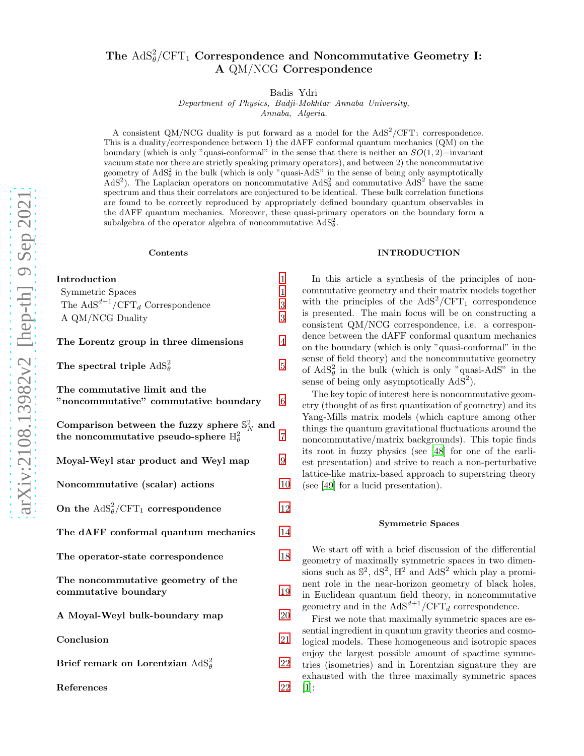#### The  $\text{AdS}_{\theta}^2$  $\theta_\theta^2/\mathrm{CFT}_1$  Correspondence and Noncommutative Geometry I: A QM/NCG Correspondence

Badis Ydri

Department of Physics, Badji-Mokhtar Annaba University,

Annaba, Algeria.

A consistent QM/NCG duality is put forward as a model for the  $AdS^2/CFT_1$  correspondence. This is a duality/correspondence between 1) the dAFF conformal quantum mechanics (QM) on the boundary (which is only "quasi-conformal" in the sense that there is neither an  $SO(1,2)$ -invariant vacuum state nor there are strictly speaking primary operators), and between 2) the noncommutative geometry of  $AdS^2_\theta$  in the bulk (which is only "quasi-AdS" in the sense of being only asymptotically  $\text{AdS}^2$ ). The Laplacian operators on noncommutative  $\text{AdS}^2_\theta$  and commutative  $\text{AdS}^2$  have the same spectrum and thus their correlators are conjectured to be identical. These bulk correlation functions are found to be correctly reproduced by appropriately defined boundary quantum observables in the dAFF quantum mechanics. Moreover, these quasi-primary operators on the boundary form a subalgebra of the operator algebra of noncommutative  $AdS^2_{\theta}$ .

## Contents

| Introduction                                                                                                       | 1  |
|--------------------------------------------------------------------------------------------------------------------|----|
| Symmetric Spaces                                                                                                   | 1  |
| The AdS <sup><math>d+1</math></sup> /CFT <sub>d</sub> Correspondence                                               | 3  |
| A QM/NCG Duality                                                                                                   | 3  |
| The Lorentz group in three dimensions                                                                              | 4  |
| The spectral triple $AdS\theta2$                                                                                   | 5  |
| The commutative limit and the<br>"noncommutative" commutative boundary                                             | 6  |
| Comparison between the fuzzy sphere $\mathbb{S}^2_N$ and<br>the noncommutative pseudo-sphere $\mathbb{H}^2_\theta$ | 7  |
| Moyal-Weyl star product and Weyl map                                                                               | 9  |
| Noncommutative (scalar) actions                                                                                    | 10 |
| On the $AdS_0^2/CFT_1$ correspondence                                                                              | 12 |
| The dAFF conformal quantum mechanics                                                                               | 14 |
| The operator-state correspondence                                                                                  | 18 |
| The noncommutative geometry of the<br>commutative boundary                                                         | 19 |
| A Moyal-Weyl bulk-boundary map                                                                                     | 20 |
| Conclusion                                                                                                         | 21 |
| Brief remark on Lorentzian $AdS^2_\theta$                                                                          | 22 |
| References                                                                                                         | 22 |

## <span id="page-0-0"></span>INTRODUCTION

In this article a synthesis of the principles of noncommutative geometry and their matrix models together with the principles of the  $AdS^2/CFT_1$  correspondence is presented. The main focus will be on constructing a consistent QM /NCG correspondence, i.e. a correspondence between the dAFF conformal quantum mechanics on the boundary (which is only "quasi-conformal" in the sense of field theory) and the noncommutative geometry of  $AdS^2_{\theta}$  in the bulk (which is only "quasi-AdS" in the sense of being only asymptotically  $AdS<sup>2</sup>$ ).

The key topic of interest here is noncommutative geometry (thought of as first quantization of geometry) and its Yang-Mills matrix models (which capture among other things the quantum gravitational fluctuations around the noncommutative/matrix backgrounds). This topic finds its root in fuzzy physics (see [\[48](#page-22-0)] for one of the earliest presentation) and strive to reach a non-perturbative lattice-like matrix-based approach to superstring theory (see [\[49\]](#page-22-1) for a lucid presentation).

#### <span id="page-0-1"></span>Symmetric Spaces

We start off with a brief discussion of the differential geometry of maximally symmetric spaces in two dimensions such as  $\mathbb{S}^2$ ,  $dS^2$ ,  $\mathbb{H}^2$  and  $AdS^2$  which play a prominent role in the near-horizon geometry of black holes, in Euclidean quantum field theory, in noncommutative geometry and in the  $AdS^{d+1}/CFT_d$  correspondence.

First we note that maximally symmetric spaces are essential ingredient in quantum gravity theories and cosmological models. These homogeneous and isotropic spaces enjoy the largest possible amount of spactime symmetries (isometries) and in Lorentzian signature they are exhausted with the three maximally symmetric spaces [\[1\]](#page-21-2):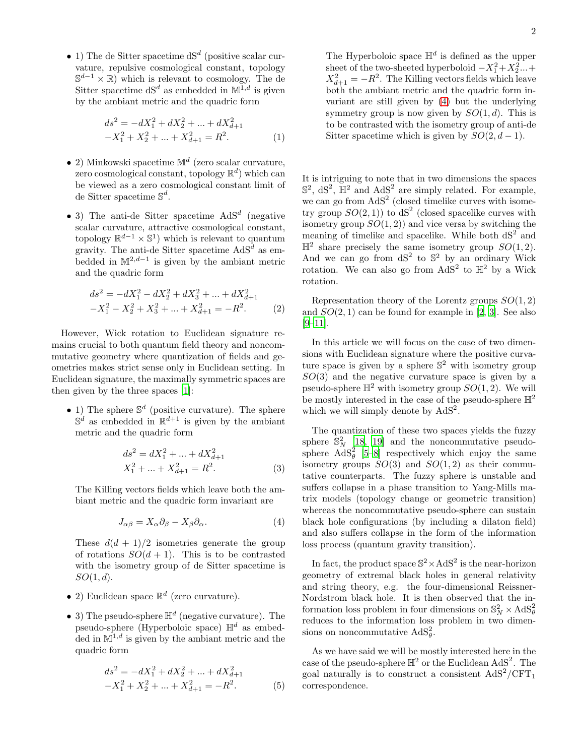• 1) The de Sitter spacetime  $dS<sup>d</sup>$  (positive scalar curvature, repulsive cosmological constant, topology  $\mathbb{S}^{d-1} \times \mathbb{R}$ ) which is relevant to cosmology. The de Sitter spacetime  $dS^d$  as embedded in  $\mathbb{M}^{1,d}$  is given by the ambiant metric and the quadric form

$$
ds^{2} = -dX_{1}^{2} + dX_{2}^{2} + \dots + dX_{d+1}^{2}
$$
  

$$
-X_{1}^{2} + X_{2}^{2} + \dots + X_{d+1}^{2} = R^{2}.
$$
 (1)

- 2) Minkowski spacetime  $\mathbb{M}^d$  (zero scalar curvature, zero cosmological constant, topology  $\mathbb{R}^d$ ) which can be viewed as a zero cosmological constant limit of de Sitter spacetime  $\mathbb{S}^d$ .
- 3) The anti-de Sitter spacetime  $AdS<sup>d</sup>$  (negative scalar curvature, attractive cosmological constant, topology  $\mathbb{R}^{d-1} \times \mathbb{S}^1$  which is relevant to quantum gravity. The anti-de Sitter spacetime  $AdS<sup>d</sup>$  as embedded in  $\mathbb{M}^{2,d-1}$  is given by the ambiant metric and the quadric form

$$
ds^{2} = -dX_{1}^{2} - dX_{2}^{2} + dX_{3}^{2} + \dots + dX_{d+1}^{2}
$$
  

$$
-X_{1}^{2} - X_{2}^{2} + X_{3}^{2} + \dots + X_{d+1}^{2} = -R^{2}.
$$
 (2)

However, Wick rotation to Euclidean signature remains crucial to both quantum field theory and noncommutative geometry where quantization of fields and geometries makes strict sense only in Euclidean setting. In Euclidean signature, the maximally symmetric spaces are then given by the three spaces [\[1\]](#page-21-2):

• 1) The sphere  $\mathbb{S}^d$  (positive curvature). The sphere  $\mathbb{S}^d$  as embedded in  $\mathbb{R}^{d+1}$  is given by the ambiant metric and the quadric form

$$
ds^{2} = dX_{1}^{2} + \dots + dX_{d+1}^{2}
$$
  

$$
X_{1}^{2} + \dots + X_{d+1}^{2} = R^{2}.
$$
 (3)

The Killing vectors fields which leave both the ambiant metric and the quadric form invariant are

<span id="page-1-0"></span>
$$
J_{\alpha\beta} = X_{\alpha}\partial_{\beta} - X_{\beta}\partial_{\alpha}.
$$
 (4)

These  $d(d + 1)/2$  isometries generate the group of rotations  $SO(d+1)$ . This is to be contrasted with the isometry group of de Sitter spacetime is  $SO(1,d).$ 

- 2) Euclidean space  $\mathbb{R}^d$  (zero curvature).
- 3) The pseudo-sphere  $\mathbb{H}^d$  (negative curvature). The pseudo-sphere (Hyperboloic space)  $\mathbb{H}^d$  as embedded in  $\mathbb{M}^{1,d}$  is given by the ambiant metric and the quadric form

$$
ds^{2} = -dX_{1}^{2} + dX_{2}^{2} + \dots + dX_{d+1}^{2}
$$
  
-X\_{1}^{2} + X\_{2}^{2} + \dots + X\_{d+1}^{2} = -R^{2}. (5)

The Hyperboloic space  $\mathbb{H}^d$  is defined as the upper sheet of the two-sheeted hyperboloid  $-X_1^2+X_2^2...+$  $X_{d+1}^2 = -R^2$ . The Killing vectors fields which leave both the ambiant metric and the quadric form invariant are still given by [\(4\)](#page-1-0) but the underlying symmetry group is now given by  $SO(1, d)$ . This is to be contrasted with the isometry group of anti-de Sitter spacetime which is given by  $SO(2, d-1)$ .

It is intriguing to note that in two dimensions the spaces  $\mathbb{S}^2$ ,  $\mathrm{dS}^2$ ,  $\mathbb{H}^2$  and  $\mathrm{AdS}^2$  are simply related. For example, we can go from  $AdS<sup>2</sup>$  (closed timelike curves with isometry group  $SO(2,1)$ ) to  $dS<sup>2</sup>$  (closed spacelike curves with isometry group  $SO(1, 2)$  and vice versa by switching the meaning of timelike and spacelike. While both  $dS<sup>2</sup>$  and  $\mathbb{H}^2$  share precisely the same isometry group  $SO(1,2)$ . And we can go from  $dS^2$  to  $S^2$  by an ordinary Wick rotation. We can also go from  $AdS^2$  to  $\mathbb{H}^2$  by a Wick rotation.

Representation theory of the Lorentz groups  $SO(1, 2)$ and  $SO(2,1)$  can be found for example in [\[2](#page-21-3), [3](#page-21-4)]. See also [\[9](#page-21-5)[–11\]](#page-22-2).

In this article we will focus on the case of two dimensions with Euclidean signature where the positive curvature space is given by a sphere  $\mathbb{S}^2$  with isometry group  $SO(3)$  and the negative curvature space is given by a pseudo-sphere  $\mathbb{H}^2$  with isometry group  $SO(1, 2)$ . We will be mostly interested in the case of the pseudo-sphere  $\mathbb{H}^2$ which we will simply denote by  $AdS<sup>2</sup>$ .

The quantization of these two spaces yields the fuzzy sphere  $\mathbb{S}_N^2$  [\[18](#page-22-3), [19\]](#page-22-4) and the noncommutative pseudosphere  $\widehat{AdS}_{\theta}^2$  [\[5](#page-21-6)-8] respectively which enjoy the same isometry groups  $SO(3)$  and  $SO(1, 2)$  as their commutative counterparts. The fuzzy sphere is unstable and suffers collapse in a phase transition to Yang-Mills matrix models (topology change or geometric transition) whereas the noncommutative pseudo-sphere can sustain black hole configurations (by including a dilaton field) and also suffers collapse in the form of the information loss process (quantum gravity transition).

In fact, the product space  $\mathbb{S}^2 \times AdS^2$  is the near-horizon geometry of extremal black holes in general relativity and string theory, e.g. the four-dimensional Reissner-Nordstrom black hole. It is then observed that the information loss problem in four dimensions on  $\mathbb{S}_N^2 \times AdS_\theta^2$ reduces to the information loss problem in two dimensions on noncommutative  $AdS^2_{\theta}$ .

As we have said we will be mostly interested here in the case of the pseudo-sphere  $\mathbb{H}^2$  or the Euclidean AdS<sup>2</sup>. The goal naturally is to construct a consistent  $AdS^2/CFT_1$ correspondence.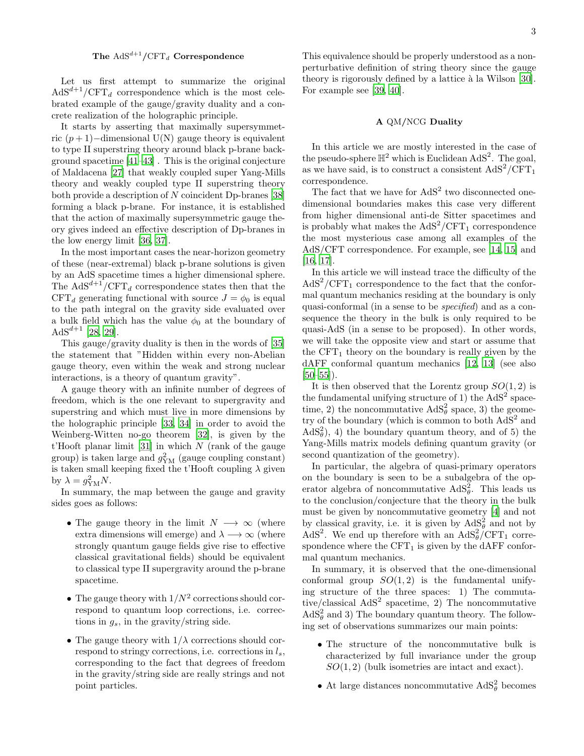<span id="page-2-0"></span>Let us first attempt to summarize the original  $AdS^{d+1}/CFT_d$  correspondence which is the most celebrated example of the gauge/gravity duality and a concrete realization of the holographic principle.

It starts by asserting that maximally supersymmetric  $(p+1)$ –dimensional U(N) gauge theory is equivalent to type II superstring theory around black p-brane background spacetime [\[41](#page-22-5)[–43\]](#page-22-6) . This is the original conjecture of Maldacena [\[27](#page-22-7)] that weakly coupled super Yang-Mills theory and weakly coupled type II superstring theory both provide a description of N coincident Dp-branes [\[38](#page-22-8)] forming a black p-brane. For instance, it is established that the action of maximally supersymmetric gauge theory gives indeed an effective description of Dp-branes in the low energy limit [\[36,](#page-22-9) [37\]](#page-22-10).

In the most important cases the near-horizon geometry of these (near-extremal) black p-brane solutions is given by an AdS spacetime times a higher dimensional sphere. The AdS<sup>d+1</sup>/CFT<sub>d</sub> correspondence states then that the CFT<sub>d</sub> generating functional with source  $J = \phi_0$  is equal to the path integral on the gravity side evaluated over a bulk field which has the value  $\phi_0$  at the boundary of  $AdS^{d+1}$  [\[28](#page-22-11), [29\]](#page-22-12).

This gauge/gravity duality is then in the words of [\[35](#page-22-13)] the statement that "Hidden within every non-Abelian gauge theory, even within the weak and strong nuclear interactions, is a theory of quantum gravity".

A gauge theory with an infinite number of degrees of freedom, which is the one relevant to supergravity and superstring and which must live in more dimensions by the holographic principle [\[33](#page-22-14), [34](#page-22-15)] in order to avoid the Weinberg-Witten no-go theorem [\[32\]](#page-22-16), is given by the t'Hooft planar limit  $[31]$  in which N (rank of the gauge group) is taken large and  $g_{\text{YM}}^2$  (gauge coupling constant) is taken small keeping fixed the t'Hooft coupling  $\lambda$  given by  $\lambda = g_{\text{YM}}^2 N$ .

In summary, the map between the gauge and gravity sides goes as follows:

- The gauge theory in the limit  $N \longrightarrow \infty$  (where extra dimensions will emerge) and  $\lambda \longrightarrow \infty$  (where strongly quantum gauge fields give rise to effective classical gravitational fields) should be equivalent to classical type II supergravity around the p-brane spacetime.
- The gauge theory with  $1/N^2$  corrections should correspond to quantum loop corrections, i.e. corrections in  $q_s$ , in the gravity/string side.
- The gauge theory with  $1/\lambda$  corrections should correspond to stringy corrections, i.e. corrections in  $l_s$ , corresponding to the fact that degrees of freedom in the gravity/string side are really strings and not point particles.

This equivalence should be properly understood as a nonperturbative definition of string theory since the gauge theory is rigorously defined by a lattice à la Wilson [\[30\]](#page-22-18). For example see [\[39,](#page-22-19) [40\]](#page-22-20).

# <span id="page-2-1"></span>A QM/NCG Duality

In this article we are mostly interested in the case of the pseudo-sphere  $\mathbb{H}^2$  which is Euclidean AdS<sup>2</sup>. The goal, as we have said, is to construct a consistent  $AdS^2/CFT_1$ correspondence.

The fact that we have for  $AdS^2$  two disconnected onedimensional boundaries makes this case very different from higher dimensional anti-de Sitter spacetimes and is probably what makes the  $AdS^2/CFT_1$  correspondence the most mysterious case among all examples of the AdS/CFT correspondence. For example, see [\[14,](#page-22-21) [15](#page-22-22)] and [\[16,](#page-22-23) [17\]](#page-22-24).

In this article we will instead trace the difficulty of the  $AdS<sup>2</sup>/CFT<sub>1</sub>$  correspondence to the fact that the conformal quantum mechanics residing at the boundary is only quasi-conformal (in a sense to be specified) and as a consequence the theory in the bulk is only required to be quasi-AdS (in a sense to be proposed). In other words, we will take the opposite view and start or assume that the  $CFT<sub>1</sub>$  theory on the boundary is really given by the dAFF conformal quantum mechanics [\[12,](#page-22-25) [13\]](#page-22-26) (see also  $[50-55]$  $[50-55]$ ).

It is then observed that the Lorentz group  $SO(1, 2)$  is the fundamental unifying structure of 1) the  $AdS^2$  spacetime, 2) the noncommutative  $AdS^2_\theta$  space, 3) the geometry of the boundary (which is common to both  $AdS<sup>2</sup>$  and  $AdS<sub>\theta</sub><sup>2</sup>$ , 4) the boundary quantum theory, and of 5) the Yang-Mills matrix models defining quantum gravity (or second quantization of the geometry).

In particular, the algebra of quasi-primary operators on the boundary is seen to be a subalgebra of the operator algebra of noncommutative  $AdS^2_{\theta}$ . This leads us to the conclusion/conjecture that the theory in the bulk must be given by noncommutative geometry [\[4](#page-21-8)] and not by classical gravity, i.e. it is given by  $AdS^2_\theta$  and not by AdS<sup>2</sup>. We end up therefore with an  $AdS^2_\theta/CFT_1$  correspondence where the  $CFT_1$  is given by the dAFF conformal quantum mechanics.

In summary, it is observed that the one-dimensional conformal group  $SO(1,2)$  is the fundamental unifying structure of the three spaces: 1) The commutative/classical  $AdS^2$  spacetime, 2) The noncommutative  $AdS^2_\theta$  and 3) The boundary quantum theory. The following set of observations summarizes our main points:

- The structure of the noncommutative bulk is characterized by full invariance under the group  $SO(1, 2)$  (bulk isometries are intact and exact).
- At large distances noncommutative  $AdS^2_\theta$  becomes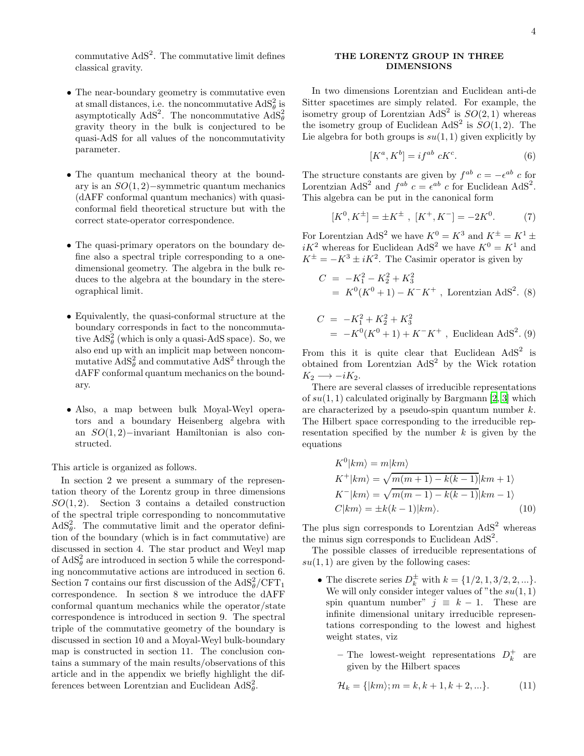commutative  $AdS^2$ . The commutative limit defines classical gravity.

- The near-boundary geometry is commutative even at small distances, i.e. the noncommutative  $AdS^2_\theta$  is asymptotically AdS<sup>2</sup>. The noncommutative  $AdS^2_{\theta}$ gravity theory in the bulk is conjectured to be quasi-AdS for all values of the noncommutativity parameter.
- The quantum mechanical theory at the boundary is an SO(1, 2)−symmetric quantum mechanics (dAFF conformal quantum mechanics) with quasiconformal field theoretical structure but with the correct state-operator correspondence.
- The quasi-primary operators on the boundary define also a spectral triple corresponding to a onedimensional geometry. The algebra in the bulk reduces to the algebra at the boundary in the stereographical limit.
- Equivalently, the quasi-conformal structure at the boundary corresponds in fact to the noncommutative  $AdS^2_{\theta}$  (which is only a quasi-AdS space). So, we also end up with an implicit map between noncommutative  $AdS^2_\theta$  and commutative  $AdS^2$  through the dAFF conformal quantum mechanics on the boundary.
- Also, a map between bulk Moyal-Weyl operators and a boundary Heisenberg algebra with an SO(1, 2)−invariant Hamiltonian is also constructed.

This article is organized as follows.

In section 2 we present a summary of the representation theory of the Lorentz group in three dimensions  $SO(1, 2)$ . Section 3 contains a detailed construction of the spectral triple corresponding to noncommutative  $AdS<sub>\theta</sub><sup>2</sup>$ . The commutative limit and the operator definition of the boundary (which is in fact commutative) are discussed in section 4. The star product and Weyl map of  $AdS^2_\theta$  are introduced in section 5 while the corresponding noncommutative actions are introduced in section 6. Section 7 contains our first discussion of the  $AdS^2_{\theta}/CFT_1$ correspondence. In section 8 we introduce the dAFF conformal quantum mechanics while the operator/state correspondence is introduced in section 9. The spectral triple of the commutative geometry of the boundary is discussed in section 10 and a Moyal-Weyl bulk-boundary map is constructed in section 11. The conclusion contains a summary of the main results/observations of this article and in the appendix we briefly highlight the differences between Lorentzian and Euclidean  $AdS^2_{\theta}$ .

### <span id="page-3-0"></span>THE LORENTZ GROUP IN THREE DIMENSIONS

In two dimensions Lorentzian and Euclidean anti-de Sitter spacetimes are simply related. For example, the isometry group of Lorentzian  $AdS<sup>2</sup>$  is  $SO(2,1)$  whereas the isometry group of Euclidean AdS<sup>2</sup> is  $SO(1, 2)$ . The Lie algebra for both groups is  $su(1, 1)$  given explicitly by

<span id="page-3-1"></span>
$$
[K^a, K^b] = if^{ab} cK^c.
$$
 (6)

The structure constants are given by  $f^{ab}$   $c = -\epsilon^{ab}$  c for Lorentzian AdS<sup>2</sup> and  $f^{ab}$   $c = \epsilon^{ab}$  c for Euclidean AdS<sup>2</sup>. This algebra can be put in the canonical form

$$
[K^{0}, K^{\pm}] = \pm K^{\pm} , [K^{+}, K^{-}] = -2K^{0}.
$$
 (7)

For Lorentzian AdS<sup>2</sup> we have  $K^0 = K^3$  and  $K^{\pm} = K^1 \pm$  $iK^2$  whereas for Euclidean AdS<sup>2</sup> we have  $K^0 = K^1$  and  $K^{\pm} = -K^3 \pm iK^2$ . The Casimir operator is given by

$$
C = -K_1^2 - K_2^2 + K_3^2
$$
  
=  $K^0(K^0 + 1) - K^-K^+$ , Lorentzian AdS<sup>2</sup>. (8)

$$
C = -K_1^2 + K_2^2 + K_3^2
$$
  
= -K<sup>0</sup>(K<sup>0</sup> + 1) + K<sup>-</sup>K<sup>+</sup> , Euclidean AdS<sup>2</sup>. (9)

From this it is quite clear that Euclidean  $AdS<sup>2</sup>$  is obtained from Lorentzian  $AdS^2$  by the Wick rotation  $K_2 \longrightarrow -iK_2$ .

There are several classes of irreducible representations of  $su(1, 1)$  calculated originally by Bargmann [\[2](#page-21-3), [3\]](#page-21-4) which are characterized by a pseudo-spin quantum number  $k$ . The Hilbert space corresponding to the irreducible representation specified by the number  $k$  is given by the equations

$$
K^{0}|km\rangle = m|km\rangle
$$
  
\n
$$
K^{+}|km\rangle = \sqrt{m(m+1) - k(k-1)}|km+1\rangle
$$
  
\n
$$
K^{-}|km\rangle = \sqrt{m(m-1) - k(k-1)}|km-1\rangle
$$
  
\n
$$
C|km\rangle = \pm k(k-1)|km\rangle.
$$
 (10)

The plus sign corresponds to Lorentzian  $AdS<sup>2</sup>$  whereas the minus sign corresponds to Euclidean  $AdS<sup>2</sup>$ .

The possible classes of irreducible representations of  $su(1, 1)$  are given by the following cases:

- The discrete series  $D_k^{\pm}$  with  $k = \{1/2, 1, 3/2, 2, ...\}$ . We will only consider integer values of "the  $su(1, 1)$ " spin quantum number"  $j \equiv k - 1$ . These are infinite dimensional unitary irreducible representations corresponding to the lowest and highest weight states, viz
	- The lowest-weight representations  $D_k^+$  are given by the Hilbert spaces

$$
\mathcal{H}_k = \{ |km\rangle; m = k, k+1, k+2, \ldots \}.
$$
 (11)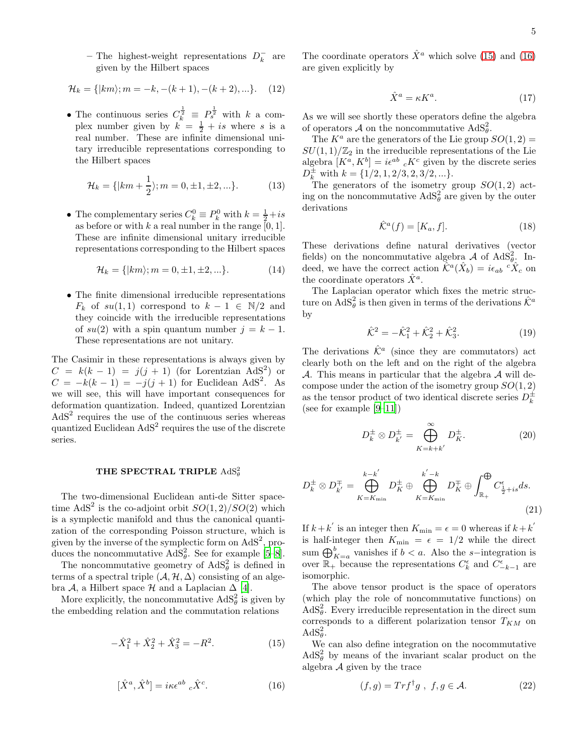− The highest-weight representations  $D<sub>k</sub><sup>−</sup>$  are given by the Hilbert spaces

$$
\mathcal{H}_k = \{ |km\rangle; m = -k, -(k+1), -(k+2), ... \}.
$$
 (12)

• The continuous series  $C_k^{\frac{1}{2}} \equiv P_s^{\frac{1}{2}}$  with k a complex number given by  $k = \frac{1}{2} + is$  where s is a real number. These are infinite dimensional unitary irreducible representations corresponding to the Hilbert spaces

$$
\mathcal{H}_k = \{ |km + \frac{1}{2}\rangle; m = 0, \pm 1, \pm 2, \ldots \}.
$$
 (13)

• The complementary series  $C_k^0 \equiv P_k^0$  with  $k = \frac{1}{2} + is$ as before or with k a real number in the range  $[0, 1]$ . These are infinite dimensional unitary irreducible representations corresponding to the Hilbert spaces

$$
\mathcal{H}_k = \{ |km\rangle; m = 0, \pm 1, \pm 2, \ldots \}.
$$
 (14)

• The finite dimensional irreducible representations  $F_k$  of  $su(1,1)$  correspond to  $k-1 \in \mathbb{N}/2$  and they coincide with the irreducible representations of  $su(2)$  with a spin quantum number  $j = k - 1$ . These representations are not unitary.

The Casimir in these representations is always given by  $C = k(k-1) = j(j+1)$  (for Lorentzian AdS<sup>2</sup>) or  $C = -k(k-1) = -j(j+1)$  for Euclidean AdS<sup>2</sup>. As we will see, this will have important consequences for deformation quantization. Indeed, quantized Lorentzian  $AdS<sup>2</sup>$  requires the use of the continuous series whereas quantized Euclidean  $AdS^2$  requires the use of the discrete series.

# <span id="page-4-0"></span>THE SPECTRAL TRIPLE  $\mathrm{AdS}^2_\theta$

The two-dimensional Euclidean anti-de Sitter spacetime AdS<sup>2</sup> is the co-adjoint orbit  $SO(1,2)/SO(2)$  which is a symplectic manifold and thus the canonical quantization of the corresponding Poisson structure, which is given by the inverse of the symplectic form on  $AdS^2$ , produces the noncommutative  $AdS^2_{\theta}$ . See for example [\[5](#page-21-6)[–8\]](#page-21-7).

The noncommutative geometry of  $AdS^2_\theta$  is defined in terms of a spectral triple  $(\mathcal{A}, \mathcal{H}, \Delta)$  consisting of an algebra  $\mathcal{A}$ , a Hilbert space  $\mathcal{H}$  and a Laplacian  $\Delta$  [\[4\]](#page-21-8).

More explicitly, the noncommutative  $AdS^2_\theta$  is given by the embedding relation and the commutation relations

<span id="page-4-1"></span>
$$
-\hat{X}_1^2 + \hat{X}_2^2 + \hat{X}_3^2 = -R^2.
$$
 (15)

<span id="page-4-2"></span>
$$
[\hat{X}^a, \hat{X}^b] = i\kappa \epsilon^{ab}{}_{c} \hat{X}^c. \tag{16}
$$

The coordinate operators  $\hat{X}^a$  which solve [\(15\)](#page-4-1) and [\(16\)](#page-4-2) are given explicitly by

<span id="page-4-3"></span>
$$
\hat{X}^a = \kappa K^a. \tag{17}
$$

As we will see shortly these operators define the algebra of operators A on the noncommutative  $AdS^2_{\theta}$ .

The  $K^a$  are the generators of the Lie group  $SO(1, 2)$  =  $SU(1,1)/\mathbb{Z}_2$  in the irreducible representations of the Lie algebra  $[K^a, K^b] = i\epsilon^{ab} {}_{c} K^c$  given by the discrete series  $D_k^{\pm}$  with  $k = \{1/2, 1, 2/3, 2, 3/2, ...\}.$ 

The generators of the isometry group  $SO(1,2)$  acting on the noncommutative  $AdS^2_\theta$  are given by the outer derivations

<span id="page-4-5"></span>
$$
\hat{\mathcal{K}}^a(f) = [K_a, f].\tag{18}
$$

These derivations define natural derivatives (vector fields) on the noncommutative algebra A of  $AdS^2_{\theta}$ . Indeed, we have the correct action  $\hat{\mathcal{K}}^a(\hat{X}_b) = i\epsilon_{ab} c^{\hat{X}}_{\hat{X}_c}$  on the coordinate operators  $\hat{X}^a$ .

The Laplacian operator which fixes the metric structure on  $AdS^2_\theta$  is then given in terms of the derivations  $\hat{\mathcal{K}}^a$ by

<span id="page-4-6"></span>
$$
\hat{\mathcal{K}}^2 = -\hat{\mathcal{K}}_1^2 + \hat{\mathcal{K}}_2^2 + \hat{\mathcal{K}}_3^2.
$$
 (19)

The derivations  $\hat{\mathcal{K}}^a$  (since they are commutators) act clearly both on the left and on the right of the algebra A. This means in particular that the algebra A will decompose under the action of the isometry group  $SO(1, 2)$ as the tensor product of two identical discrete series  $D_k^{\pm}$ (see for example [\[9](#page-21-5)[–11\]](#page-22-2))

$$
D_k^{\pm} \otimes D_{k'}^{\pm} = \bigoplus_{K=k+k'}^{\infty} D_K^{\pm}.
$$
 (20)

$$
D_k^{\pm} \otimes D_{k'}^{\mp} = \bigoplus_{K=K_{\min}}^{k-k'} D_K^{\pm} \oplus \bigoplus_{K=K_{\min}}^{k'-k} D_K^{\mp} \oplus \int_{\mathbb{R}_+}^{\oplus} C_{\frac{1}{2}+is}^{\epsilon} ds.
$$
\n(21)

If  $k + k'$  is an integer then  $K_{\min} = \epsilon = 0$  whereas if  $k + k'$ is half-integer then  $K_{\min} = \epsilon = 1/2$  while the direct sum  $\bigoplus_{K=a}^{b}$  vanishes if  $b < a$ . Also the s-integration is over  $\mathbb{R}_+$  because the representations  $C_k^{\epsilon}$  and  $C_{-k-1}^{\epsilon}$  are isomorphic.

The above tensor product is the space of operators (which play the role of noncommutative functions) on  $AdS^2_{\theta}$ . Every irreducible representation in the direct sum corresponds to a different polarization tensor  $T_{KM}$  on  $AdS^2_{\theta}$ .

We can also define integration on the nocommutative  $AdS^2_{\theta}$  by means of the invariant scalar product on the algebra  $A$  given by the trace

<span id="page-4-4"></span>
$$
(f,g) = Tr f^{\dagger}g , f, g \in \mathcal{A}.
$$
 (22)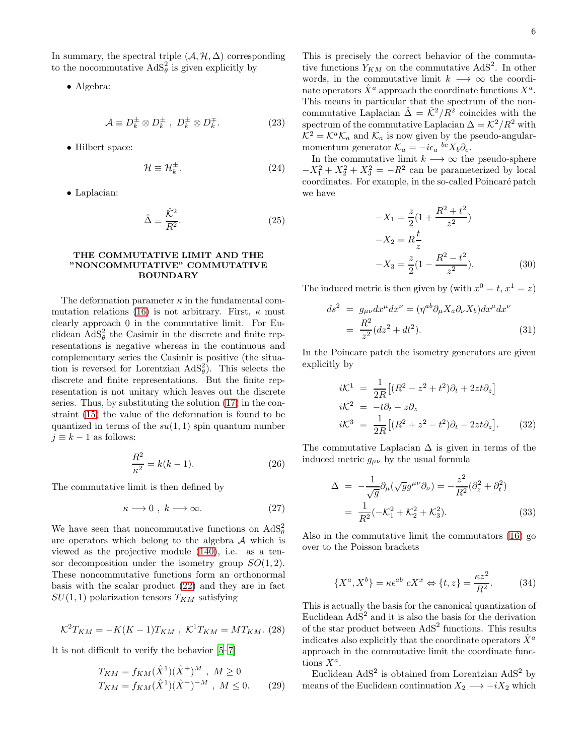In summary, the spectral triple  $(\mathcal{A}, \mathcal{H}, \Delta)$  corresponding to the nocommutative  $AdS^2_\theta$  is given explicitly by

• Algebra:

$$
\mathcal{A} \equiv D_k^{\pm} \otimes D_k^{\pm} , \ D_k^{\pm} \otimes D_k^{\mp} . \tag{23}
$$

• Hilbert space:

$$
\mathcal{H} \equiv \mathcal{H}_k^{\pm}.\tag{24}
$$

• Laplacian:

$$
\hat{\Delta} \equiv \frac{\hat{\mathcal{K}}^2}{R^2}.\tag{25}
$$

#### <span id="page-5-0"></span>THE COMMUTATIVE LIMIT AND THE "NONCOMMUTATIVE" COMMUTATIVE BOUNDARY

The deformation parameter  $\kappa$  in the fundamental com-mutation relations [\(16\)](#page-4-2) is not arbitrary. First,  $\kappa$  must clearly approach 0 in the commutative limit. For Euclidean  $AdS^2_\theta$  the Casimir in the discrete and finite representations is negative whereas in the continuous and complementary series the Casimir is positive (the situation is reversed for Lorentzian  $AdS^2_{\theta}$ . This selects the discrete and finite representations. But the finite representation is not unitary which leaves out the discrete series. Thus, by substituting the solution [\(17\)](#page-4-3) in the constraint [\(15\)](#page-4-1) the value of the deformation is found to be quantized in terms of the  $su(1,1)$  spin quantum number  $j \equiv k - 1$  as follows:

<span id="page-5-1"></span>
$$
\frac{R^2}{\kappa^2} = k(k-1).
$$
 (26)

The commutative limit is then defined by

<span id="page-5-4"></span>
$$
\kappa \longrightarrow 0 \; , \; k \longrightarrow \infty. \tag{27}
$$

We have seen that noncommutative functions on  $AdS^2_\theta$ are operators which belong to the algebra  $A$  which is viewed as the projective module [\(140\)](#page-14-0), i.e. as a tensor decomposition under the isometry group  $SO(1, 2)$ . These noncommutative functions form an orthonormal basis with the scalar product [\(22\)](#page-4-4) and they are in fact  $SU(1,1)$  polarization tensors  $T_{KM}$  satisfying

$$
\mathcal{K}^2 T_{KM} = -K(K-1)T_{KM}, \ \mathcal{K}^1 T_{KM} = MT_{KM}.
$$
 (28)

It is not difficult to verify the behavior [\[5](#page-21-6)[–7\]](#page-21-9)

<span id="page-5-3"></span>
$$
T_{KM} = f_{KM}(\hat{X}^1)(\hat{X}^+)^M, \ M \ge 0
$$
  
\n
$$
T_{KM} = f_{KM}(\hat{X}^1)(\hat{X}^-)^{-M}, \ M \le 0.
$$
 (29)

This is precisely the correct behavior of the commutative functions  $Y_{KM}$  on the commutative AdS<sup>2</sup>. In other words, in the commutative limit  $k \longrightarrow \infty$  the coordinate operators  $\hat{X}^a$  approach the coordinate functions  $X^a$ . This means in particular that the spectrum of the noncommutative Laplacian  $\hat{\Delta} = \hat{\mathcal{K}}^2 / R^2$  coincides with the spectrum of the commutative Laplacian  $\Delta = \mathcal{K}^2/R^2$  with  $\mathcal{K}^2 = \mathcal{K}^a \mathcal{K}_a$  and  $\mathcal{K}_a$  is now given by the pseudo-angularmomentum generator  $\mathcal{K}_a = -i\epsilon_a{}^{bc} X_b \partial_c.$ 

In the commutative limit  $k \longrightarrow \infty$  the pseudo-sphere  $-X_1^2 + X_2^2 + X_3^2 = -R^2$  can be parameterized by local coordinates. For example, in the so-called Poincaré patch we have

$$
-X_1 = \frac{z}{2}(1 + \frac{R^2 + t^2}{z^2})
$$
  
\n
$$
-X_2 = R\frac{t}{z}
$$
  
\n
$$
-X_3 = \frac{z}{2}(1 - \frac{R^2 - t^2}{z^2}).
$$
\n(30)

The induced metric is then given by (with  $x^0 = t, x^1 = z$ )

$$
ds^{2} = g_{\mu\nu}dx^{\mu}dx^{\nu} = (\eta^{ab}\partial_{\mu}X_{a}\partial_{\nu}X_{b})dx^{\mu}dx^{\nu}
$$

$$
= \frac{R^{2}}{z^{2}}(dz^{2} + dt^{2}). \tag{31}
$$

In the Poincare patch the isometry generators are given explicitly by

<span id="page-5-2"></span>
$$
i\mathcal{K}^1 = \frac{1}{2R} \left[ (R^2 - z^2 + t^2)\partial_t + 2zt\partial_z \right]
$$
  
\n
$$
i\mathcal{K}^2 = -t\partial_t - z\partial_z
$$
  
\n
$$
i\mathcal{K}^3 = \frac{1}{2R} \left[ (R^2 + z^2 - t^2)\partial_t - 2zt\partial_z \right].
$$
 (32)

The commutative Laplacian  $\Delta$  is given in terms of the induced metric  $g_{\mu\nu}$  by the usual formula

$$
\Delta = -\frac{1}{\sqrt{g}} \partial_{\mu} (\sqrt{g} g^{\mu \nu} \partial_{\nu}) = -\frac{z^2}{R^2} (\partial_z^2 + \partial_t^2)
$$
  
= 
$$
\frac{1}{R^2} (-K_1^2 + K_2^2 + K_3^2).
$$
 (33)

Also in the commutative limit the commutators [\(16\)](#page-4-2) go over to the Poisson brackets

$$
\{X^a, X^b\} = \kappa \epsilon^{ab} \ cX^x \Leftrightarrow \{t, z\} = \frac{\kappa z^2}{R^2}.
$$
 (34)

This is actually the basis for the canonical quantization of Euclidean  $AdS<sup>2</sup>$  and it is also the basis for the derivation of the star product between  $AdS^2$  functions. This results indicates also explicitly that the coordinate operators  $\hat{X}^a$ approach in the commutative limit the coordinate functions  $X^a$ .

Euclidean  $AdS^2$  is obtained from Lorentzian  $AdS^2$  by means of the Euclidean continuation  $X_2 \longrightarrow -iX_2$  which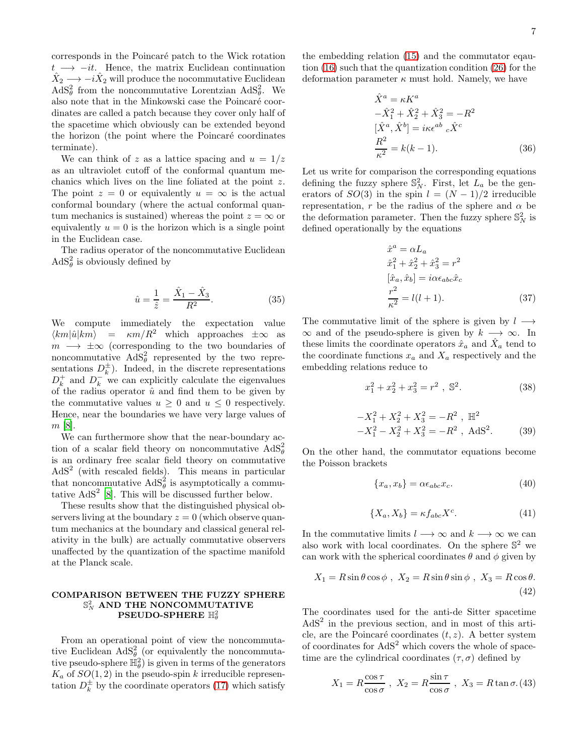corresponds in the Poincaré patch to the Wick rotation  $t \rightarrow -it$ . Hence, the matrix Euclidean continuation  $\hat{X}_2 \longrightarrow -i\hat{X}_2$  will produce the nocommutative Euclidean  $AdS^2_{\theta}$  from the noncommutative Lorentzian  $AdS^2_{\theta}$ . We also note that in the Minkowski case the Poincaré coordinates are called a patch because they cover only half of the spacetime which obviously can be extended beyond the horizon (the point where the Poincaré coordinates terminate).

We can think of z as a lattice spacing and  $u = 1/z$ as an ultraviolet cutoff of the conformal quantum mechanics which lives on the line foliated at the point z. The point  $z = 0$  or equivalently  $u = \infty$  is the actual conformal boundary (where the actual conformal quantum mechanics is sustained) whereas the point  $z = \infty$  or equivalently  $u = 0$  is the horizon which is a single point in the Euclidean case.

The radius operator of the noncommutative Euclidean  $AdS^2_{\theta}$  is obviously defined by

$$
\hat{u} = \frac{1}{\hat{z}} = \frac{\hat{X}_1 - \hat{X}_3}{R^2}.
$$
\n(35)

We compute immediately the expectation value  $\langle km|\hat{u}|km\rangle = \kappa m/R^2$  which approaches  $\pm \infty$  as  $m \rightarrow \pm \infty$  (corresponding to the two boundaries of noncommutative  $AdS^2_{\theta}$  represented by the two representations  $D_k^{\pm}$ ). Indeed, in the discrete representations  $D_k^+$  and  $D_k^-$  we can explicitly calculate the eigenvalues of the radius operator  $\hat{u}$  and find them to be given by the commutative values  $u \geq 0$  and  $u \leq 0$  respectively. Hence, near the boundaries we have very large values of m [\[8\]](#page-21-7).

We can furthermore show that the near-boundary action of a scalar field theory on noncommutative  $AdS^2_\theta$ is an ordinary free scalar field theory on commutative AdS<sup>2</sup> (with rescaled fields). This means in particular that noncommutative  $AdS^2_\theta$  is asymptotically a commutative  $AdS<sup>2</sup>$  [\[8](#page-21-7)]. This will be discussed further below.

These results show that the distinguished physical observers living at the boundary  $z = 0$  (which observe quantum mechanics at the boundary and classical general relativity in the bulk) are actually commutative observers unaffected by the quantization of the spactime manifold at the Planck scale.

## <span id="page-6-0"></span>COMPARISON BETWEEN THE FUZZY SPHERE  $\mathbb{S}^2_N$  and the noncommutative  $\textbf{PSEUDO-SPHERE} \ \mathbb{H}^2_\theta$

From an operational point of view the noncommutative Euclidean  $AdS^2_{\theta}$  (or equivalently the noncommutative pseudo-sphere  $\mathbb{H}_{\theta}^2$ ) is given in terms of the generators  $K_a$  of  $SO(1, 2)$  in the pseudo-spin k irreducible representation  $D_k^{\pm}$  by the coordinate operators [\(17\)](#page-4-3) which satisfy the embedding relation [\(15\)](#page-4-1) and the commutator eqaution [\(16\)](#page-4-2) such that the quantization condition [\(26\)](#page-5-1) for the deformation parameter  $\kappa$  must hold. Namely, we have

$$
\hat{X}^a = \kappa K^a
$$
  
\n
$$
-\hat{X}_1^2 + \hat{X}_2^2 + \hat{X}_3^2 = -R^2
$$
  
\n
$$
[\hat{X}^a, \hat{X}^b] = i\kappa \epsilon^{ab}{}_{c} \hat{X}^c
$$
  
\n
$$
\frac{R^2}{\kappa^2} = k(k-1).
$$
\n(36)

Let us write for comparison the corresponding equations defining the fuzzy sphere  $\mathbb{S}_N^2$ . First, let  $L_a$  be the generators of  $SO(3)$  in the spin  $l = (N-1)/2$  irreducible representation, r be the radius of the sphere and  $\alpha$  be the deformation parameter. Then the fuzzy sphere  $\mathbb{S}^2_N$  is defined operationally by the equations

$$
\hat{x}^a = \alpha L_a
$$
  
\n
$$
\hat{x}_1^2 + \hat{x}_2^2 + \hat{x}_3^2 = r^2
$$
  
\n
$$
[\hat{x}_a, \hat{x}_b] = i\alpha \epsilon_{abc} \hat{x}_c
$$
  
\n
$$
\frac{r^2}{\kappa^2} = l(l+1).
$$
\n(37)

The commutative limit of the sphere is given by  $l \longrightarrow$  $\infty$  and of the pseudo-sphere is given by  $k \longrightarrow \infty$ . In these limits the coordinate operators  $\hat{x}_a$  and  $\hat{X}_a$  tend to the coordinate functions  $x_a$  and  $X_a$  respectively and the embedding relations reduce to

$$
x_1^2 + x_2^2 + x_3^2 = r^2 , \ \mathbb{S}^2.
$$
 (38)

$$
-X_1^2 + X_2^2 + X_3^2 = -R^2, \quad \mathbb{H}^2
$$
  

$$
-X_1^2 - X_2^2 + X_3^2 = -R^2, \quad \text{AdS}^2.
$$
 (39)

On the other hand, the commutator equations become the Poisson brackets

<span id="page-6-1"></span>
$$
\{x_a, x_b\} = \alpha \epsilon_{abc} x_c.
$$
 (40)

<span id="page-6-2"></span>
$$
\{X_a, X_b\} = \kappa f_{abc} X^c. \tag{41}
$$

In the commutative limits  $l \rightarrow \infty$  and  $k \rightarrow \infty$  we can also work with local coordinates. On the sphere  $\mathbb{S}^2$  we can work with the spherical coordinates  $\theta$  and  $\phi$  given by

$$
X_1 = R\sin\theta\cos\phi , X_2 = R\sin\theta\sin\phi , X_3 = R\cos\theta.
$$
\n(42)

The coordinates used for the anti-de Sitter spacetime  $AdS<sup>2</sup>$  in the previous section, and in most of this article, are the Poincaré coordinates  $(t, z)$ . A better system of coordinates for  $AdS^2$  which covers the whole of spacetime are the cylindrical coordinates  $(\tau, \sigma)$  defined by

$$
X_1 = R \frac{\cos \tau}{\cos \sigma} , \ X_2 = R \frac{\sin \tau}{\cos \sigma} , \ X_3 = R \tan \sigma. (43)
$$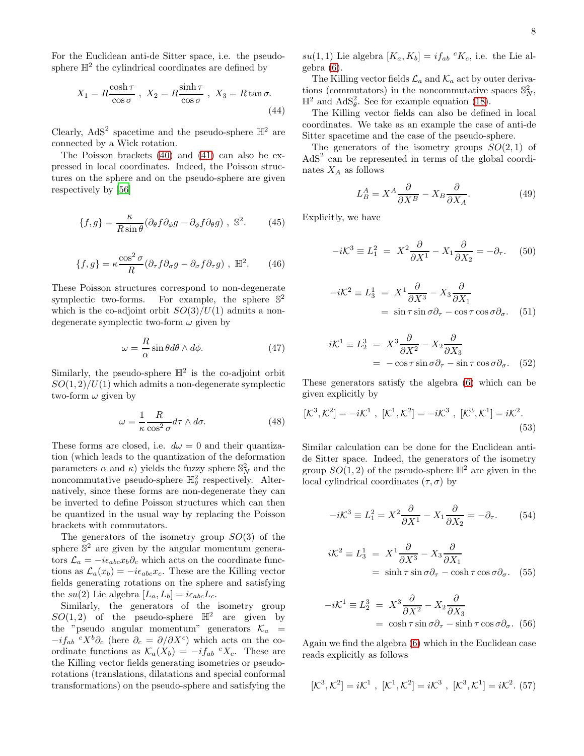For the Euclidean anti-de Sitter space, i.e. the pseudosphere  $\mathbb{H}^2$  the cylindrical coordinates are defined by

$$
X_1 = R \frac{\cosh \tau}{\cos \sigma} , \ X_2 = R \frac{\sinh \tau}{\cos \sigma} , \ X_3 = R \tan \sigma.
$$
\n(44)

Clearly, AdS<sup>2</sup> spacetime and the pseudo-sphere  $\mathbb{H}^2$  are connected by a Wick rotation.

The Poisson brackets [\(40\)](#page-6-1) and [\(41\)](#page-6-2) can also be expressed in local coordinates. Indeed, the Poisson structures on the sphere and on the pseudo-sphere are given respectively by [\[56\]](#page-23-1)

$$
\{f,g\} = \frac{\kappa}{R\sin\theta} (\partial_{\theta}f\partial_{\phi}g - \partial_{\phi}f\partial_{\theta}g) , \mathbb{S}^{2}.
$$
 (45)

$$
\{f,g\} = \kappa \frac{\cos^2 \sigma}{R} (\partial_\tau f \partial_\sigma g - \partial_\sigma f \partial_\tau g) , \ \mathbb{H}^2.
$$
 (46)

These Poisson structures correspond to non-degenerate symplectic two-forms. For example, the sphere  $\mathbb{S}^2$ which is the co-adjoint orbit  $SO(3)/U(1)$  admits a nondegenerate symplectic two-form  $\omega$  given by

$$
\omega = \frac{R}{\alpha} \sin \theta d\theta \wedge d\phi. \tag{47}
$$

Similarly, the pseudo-sphere  $\mathbb{H}^2$  is the co-adjoint orbit  $SO(1,2)/U(1)$  which admits a non-degenerate symplectic two-form  $\omega$  given by

$$
\omega = \frac{1}{\kappa} \frac{R}{\cos^2 \sigma} d\tau \wedge d\sigma.
$$
 (48)

These forms are closed, i.e.  $d\omega = 0$  and their quantization (which leads to the quantization of the deformation parameters  $\alpha$  and  $\kappa$ ) yields the fuzzy sphere  $\mathbb{S}^2_N$  and the noncommutative pseudo-sphere  $\mathbb{H}^2_\theta$  respectively. Alternatively, since these forms are non-degenerate they can be inverted to define Poisson structures which can then be quantized in the usual way by replacing the Poisson brackets with commutators.

The generators of the isometry group  $SO(3)$  of the sphere  $\mathbb{S}^2$  are given by the angular momentum generators  $\mathcal{L}_a = -i\epsilon_{abc}x_b\partial_c$  which acts on the coordinate functions as  $\mathcal{L}_a(x_b) = -i\epsilon_{abc}x_c$ . These are the Killing vector fields generating rotations on the sphere and satisfying the su(2) Lie algebra  $[L_a, L_b] = i\epsilon_{abc}L_c$ .

Similarly, the generators of the isometry group  $SO(1,2)$  of the pseudo-sphere  $\mathbb{H}^2$  are given by the "pseudo angular momentum" generators  $K_a$  =  $-i f_{ab} {}^c X^b \partial_c$  (here  $\partial_c = \partial / \partial X^c$ ) which acts on the coordinate functions as  $\mathcal{K}_a(X_b) = -i f_{ab} \ ^c X_c$ . These are the Killing vector fields generating isometries or pseudorotations (translations, dilatations and special conformal transformations) on the pseudo-sphere and satisfying the

 $su(1,1)$  Lie algebra  $[K_a, K_b] = if_{ab} {}^cK_c$ , i.e. the Lie algebra [\(6\)](#page-3-1).

The Killing vector fields  $\mathcal{L}_a$  and  $\mathcal{K}_a$  act by outer derivations (commutators) in the noncommutative spaces  $\mathbb{S}_N^2$ ,  $\mathbb{H}^2$  and  $AdS^2_{\theta}$ . See for example equation [\(18\)](#page-4-5).

The Killing vector fields can also be defined in local coordinates. We take as an example the case of anti-de Sitter spacetime and the case of the pseudo-sphere.

The generators of the isometry groups  $SO(2,1)$  of  $AdS<sup>2</sup>$  can be represented in terms of the global coordinates  $X_A$  as follows

$$
L_B^A = X^A \frac{\partial}{\partial X^B} - X_B \frac{\partial}{\partial X_A}.\tag{49}
$$

Explicitly, we have

$$
-i\mathcal{K}^3 \equiv L_1^2 = X^2 \frac{\partial}{\partial X^1} - X_1 \frac{\partial}{\partial X_2} = -\partial_\tau. \quad (50)
$$

$$
-i\mathcal{K}^2 \equiv L_3^1 = X^1 \frac{\partial}{\partial X^3} - X_3 \frac{\partial}{\partial X_1}
$$
  
=  $\sin \tau \sin \sigma \partial_\tau - \cos \tau \cos \sigma \partial_\sigma$ . (51)

$$
iK^{1} \equiv L_{2}^{3} = X^{3} \frac{\partial}{\partial X^{2}} - X_{2} \frac{\partial}{\partial X_{3}}
$$
  
= -\cos \tau \sin \sigma \partial\_{\tau} - \sin \tau \cos \sigma \partial\_{\sigma}. (52)

These generators satisfy the algebra [\(6\)](#page-3-1) which can be given explicitly by

$$
[\mathcal{K}^3, \mathcal{K}^2] = -i\mathcal{K}^1 \ , \ [\mathcal{K}^1, \mathcal{K}^2] = -i\mathcal{K}^3 \ , \ [\mathcal{K}^3, \mathcal{K}^1] = i\mathcal{K}^2.
$$
\n(53)

Similar calculation can be done for the Euclidean antide Sitter space. Indeed, the generators of the isometry group  $SO(1, 2)$  of the pseudo-sphere  $\mathbb{H}^2$  are given in the local cylindrical coordinates  $(\tau, \sigma)$  by

$$
-i\mathcal{K}^3 \equiv L_1^2 = X^2 \frac{\partial}{\partial X^1} - X_1 \frac{\partial}{\partial X_2} = -\partial_\tau. \tag{54}
$$

$$
iK^2 \equiv L_3^1 = X^1 \frac{\partial}{\partial X^3} - X_3 \frac{\partial}{\partial X_1}
$$
  
= sinh  $\tau$  sin  $\sigma \partial_{\tau} - \cosh \tau \cos \sigma \partial_{\sigma}$ . (55)

$$
-i\mathcal{K}^1 \equiv L_2^3 = X^3 \frac{\partial}{\partial X^2} - X_2 \frac{\partial}{\partial X_3}
$$
  
= \cosh \tau \sin \sigma \partial\_\tau - \sinh \tau \cos \sigma \partial\_\sigma. (56)

Again we find the algebra [\(6\)](#page-3-1) which in the Euclidean case reads explicitly as follows

$$
[\mathcal{K}^3, \mathcal{K}^2] = i\mathcal{K}^1 \ , [\mathcal{K}^1, \mathcal{K}^2] = i\mathcal{K}^3 \ , [\mathcal{K}^3, \mathcal{K}^1] = i\mathcal{K}^2 \ . \ (57)
$$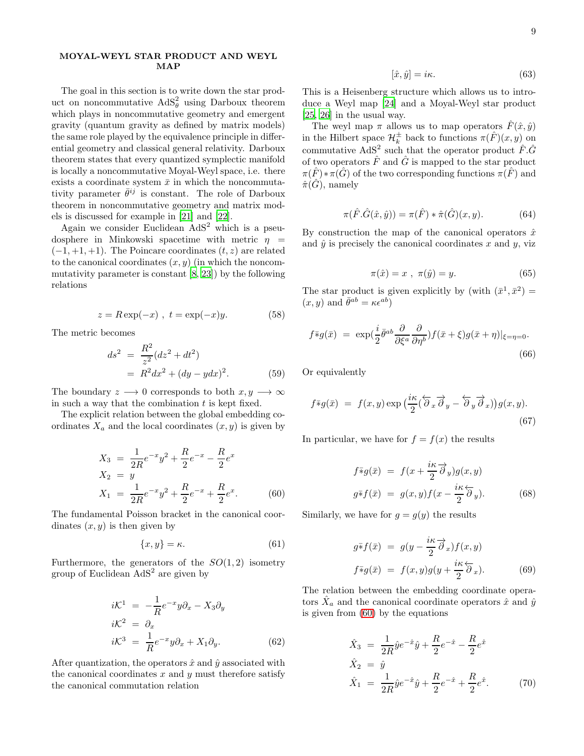## <span id="page-8-0"></span>MOYAL-WEYL STAR PRODUCT AND WEYL MAP

The goal in this section is to write down the star product on noncommutative  $AdS^2_{\theta}$  using Darboux theorem which plays in noncommutative geometry and emergent gravity (quantum gravity as defined by matrix models) the same role played by the equivalence principle in differential geometry and classical general relativity. Darboux theorem states that every quantized symplectic manifold is locally a noncommutative Moyal-Weyl space, i.e. there exists a coordinate system  $\bar{x}$  in which the noncommutativity parameter  $\bar{\theta}^{ij}$  is constant. The role of Darboux theorem in noncommutative geometry and matrix models is discussed for example in [\[21\]](#page-22-28) and [\[22\]](#page-22-29).

Again we consider Euclidean  $AdS<sup>2</sup>$  which is a pseudosphere in Minkowski spacetime with metric  $\eta =$  $(-1, +1, +1)$ . The Poincare coordinates  $(t, z)$  are related to the canonical coordinates  $(x, y)$  (in which the noncommutativity parameter is constant [\[8](#page-21-7), [23\]](#page-22-30)) by the following relations

$$
z = R \exp(-x) , t = \exp(-x)y.
$$
 (58)

The metric becomes

<span id="page-8-7"></span>
$$
ds^{2} = \frac{R^{2}}{z^{2}}(dz^{2} + dt^{2})
$$
  
=  $R^{2}dx^{2} + (dy - ydx)^{2}$ . (59)

The boundary  $z \rightarrow 0$  corresponds to both  $x, y \rightarrow \infty$ in such a way that the combination  $t$  is kept fixed.

The explicit relation between the global embedding coordinates  $X_a$  and the local coordinates  $(x, y)$  is given by

<span id="page-8-1"></span>
$$
X_3 = \frac{1}{2R}e^{-x}y^2 + \frac{R}{2}e^{-x} - \frac{R}{2}e^x
$$
  
\n
$$
X_2 = y
$$
  
\n
$$
X_1 = \frac{1}{2R}e^{-x}y^2 + \frac{R}{2}e^{-x} + \frac{R}{2}e^x.
$$
 (60)

The fundamental Poisson bracket in the canonical coordinates  $(x, y)$  is then given by

$$
\{x, y\} = \kappa. \tag{61}
$$

Furthermore, the generators of the  $SO(1,2)$  isometry group of Euclidean  $AdS^2$  are given by

<span id="page-8-6"></span>
$$
iK^{1} = -\frac{1}{R}e^{-x}y\partial_{x} - X_{3}\partial_{y}
$$
  
\n
$$
iK^{2} = \partial_{x}
$$
  
\n
$$
iK^{3} = \frac{1}{R}e^{-x}y\partial_{x} + X_{1}\partial_{y}.
$$
\n(62)

After quantization, the operators  $\hat{x}$  and  $\hat{y}$  associated with the canonical coordinates  $x$  and  $y$  must therefore satisfy the canonical commutation relation

<span id="page-8-3"></span>
$$
[\hat{x}, \hat{y}] = i\kappa. \tag{63}
$$

This is a Heisenberg structure which allows us to introduce a Weyl map [\[24](#page-22-31)] and a Moyal-Weyl star product [\[25,](#page-22-32) [26\]](#page-22-33) in the usual way.

The weyl map  $\pi$  allows us to map operators  $\hat{F}(\hat{x}, \hat{y})$ in the Hilbert space  $\mathcal{H}_k^{\pm}$  back to functions  $\pi(\hat{F})(x, y)$  on commutative  $AdS^2$  such that the operator product  $\hat{F}.\hat{G}$ of two operators  $\hat{F}$  and  $\hat{G}$  is mapped to the star product  $\pi(F) * \pi(G)$  of the two corresponding functions  $\pi(F)$  and  $\hat{\pi}(G)$ , namely

$$
\pi(\hat{F}.\hat{G}(\hat{x},\hat{y})) = \pi(\hat{F}) * \hat{\pi}(\hat{G})(x,y).
$$
 (64)

By construction the map of the canonical operators  $\hat{x}$ and  $\hat{y}$  is precisely the canonical coordinates x and y, viz

$$
\pi(\hat{x}) = x \ , \ \pi(\hat{y}) = y. \tag{65}
$$

The star product is given explicitly by (with  $(\bar{x}^1, \bar{x}^2)$  =  $(x, y)$  and  $\overline{\theta}^{ab} = \kappa \epsilon^{ab}$ 

$$
f \bar{*}g(\bar{x}) = \exp(\frac{i}{2}\bar{\theta}^{ab}\frac{\partial}{\partial \xi^a}\frac{\partial}{\partial \eta^b})f(\bar{x}+\xi)g(\bar{x}+\eta)|_{\xi=\eta=0}.
$$
\n(66)

Or equivalently

$$
f \overline{*} g(\overline{x}) = f(x, y) \exp \left( \frac{i\kappa}{2} (\overleftarrow{\partial}_x \overrightarrow{\partial}_y - \overleftarrow{\partial}_y \overrightarrow{\partial}_x) \right) g(x, y). \tag{67}
$$

In particular, we have for  $f = f(x)$  the results

<span id="page-8-4"></span>
$$
f \bar{*}g(\bar{x}) = f(x + \frac{i\kappa}{2} \overrightarrow{\partial}_y)g(x, y)
$$

$$
g \bar{*}f(\bar{x}) = g(x, y)f(x - \frac{i\kappa}{2} \overleftarrow{\partial}_y).
$$
(68)

Similarly, we have for  $g = g(y)$  the results

<span id="page-8-5"></span>
$$
g \bar{*} f(\bar{x}) = g(y - \frac{i\kappa}{2} \overrightarrow{\partial}_x) f(x, y)
$$
  

$$
f \bar{*} g(\bar{x}) = f(x, y) g(y + \frac{i\kappa}{2} \overleftarrow{\partial}_x).
$$
 (69)

The relation between the embedding coordinate operators  $\hat{X}_a$  and the canonical coordinate operators  $\hat{x}$  and  $\hat{y}$ is given from [\(60\)](#page-8-1) by the equations

<span id="page-8-2"></span>
$$
\hat{X}_3 = \frac{1}{2R}\hat{y}e^{-\hat{x}}\hat{y} + \frac{R}{2}e^{-\hat{x}} - \frac{R}{2}e^{\hat{x}} \n\hat{X}_2 = \hat{y} \n\hat{X}_1 = \frac{1}{2R}\hat{y}e^{-\hat{x}}\hat{y} + \frac{R}{2}e^{-\hat{x}} + \frac{R}{2}e^{\hat{x}}.
$$
\n(70)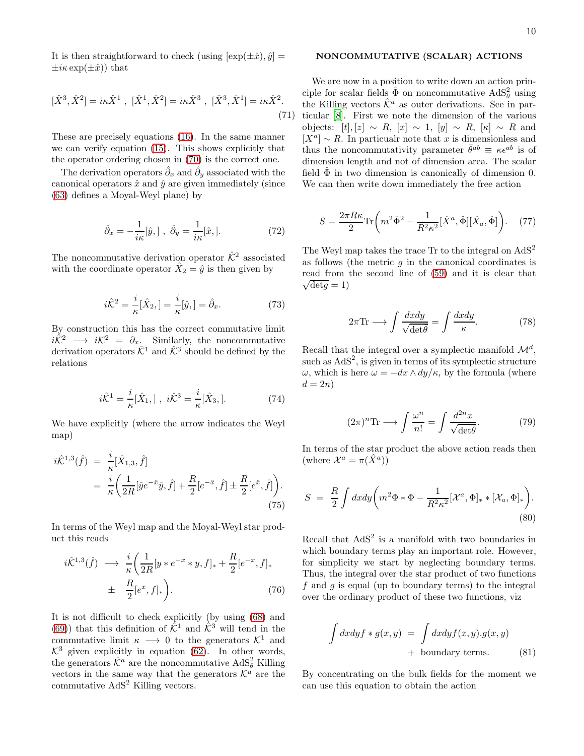It is then straightforward to check (using  $[\exp(\pm \hat{x}), \hat{y}] =$  $\pm i\kappa \exp(\pm\hat{x})$  that

$$
[\hat{X}^3, \hat{X}^2] = i\kappa \hat{X}^1 \ , \ [\hat{X}^1, \hat{X}^2] = i\kappa \hat{X}^3 \ , \ [\hat{X}^3, \hat{X}^1] = i\kappa \hat{X}^2.
$$
\n(71)

These are precisely equations [\(16\)](#page-4-2). In the same manner we can verify equation [\(15\)](#page-4-1). This shows explicitly that the operator ordering chosen in [\(70\)](#page-8-2) is the correct one.

The derivation operators  $\hat{\partial}_x$  and  $\hat{\partial}_y$  associated with the canonical operators  $\hat{x}$  and  $\hat{y}$  are given immediately (since [\(63\)](#page-8-3) defines a Moyal-Weyl plane) by

$$
\hat{\partial}_x = -\frac{1}{i\kappa} [\hat{y},], \ \hat{\partial}_y = \frac{1}{i\kappa} [\hat{x},]. \tag{72}
$$

The noncommutative derivation operator  $\hat{\mathcal{K}}^2$  associated with the coordinate operator  $\hat{X}_2 = \hat{y}$  is then given by

$$
i\hat{\mathcal{K}}^2 = \frac{i}{\kappa} [\hat{X}_2] = \frac{i}{\kappa} [\hat{y}_1] = \hat{\partial}_x.
$$
 (73)

By construction this has the correct commutative limit  $i\hat{\mathcal{K}}^2 \longrightarrow i\mathcal{K}^2 = \partial_x$ . Similarly, the noncommutative derivation operators  $\hat{\mathcal{K}}^1$  and  $\hat{\mathcal{K}}^3$  should be defined by the relations

$$
i\hat{\mathcal{K}}^1 = \frac{i}{\kappa} [\hat{X}_1,], \ i\hat{\mathcal{K}}^3 = \frac{i}{\kappa} [\hat{X}_3,]. \tag{74}
$$

We have explicitly (where the arrow indicates the Weyl map)

$$
i\hat{\mathcal{K}}^{1,3}(\hat{f}) = \frac{i}{\kappa} [\hat{X}_{1,3}, \hat{f}]
$$
  
= 
$$
\frac{i}{\kappa} \left( \frac{1}{2R} [\hat{y}e^{-\hat{x}}\hat{y}, \hat{f}] + \frac{R}{2} [e^{-\hat{x}}, \hat{f}] \pm \frac{R}{2} [e^{\hat{x}}, \hat{f}] \right).
$$
(75)

In terms of the Weyl map and the Moyal-Weyl star product this reads

$$
i\hat{\mathcal{K}}^{1,3}(\hat{f}) \longrightarrow \frac{i}{\kappa} \left( \frac{1}{2R} [y * e^{-x} * y, f]_{*} + \frac{R}{2} [e^{-x}, f]_{*} \right) + \frac{R}{2} [e^{x}, f]_{*} \right).
$$
 (76)

It is not difficult to check explicitly (by using [\(68\)](#page-8-4) and [\(69\)](#page-8-5)) that this definition of  $\hat{\mathcal{K}}^1$  and  $\hat{\mathcal{K}}^3$  will tend in the commutative limit  $\kappa \longrightarrow 0$  to the generators  $\mathcal{K}^1$  and  $K^3$  given explicitly in equation [\(62\)](#page-8-6). In other words, the generators  $\hat{\mathcal{K}}^a$  are the noncommutative  $\text{AdS}^2_{\theta}$  Killing vectors in the same way that the generators  $\mathcal{K}^a$  are the commutative  $AdS<sup>2</sup>$  Killing vectors.

### <span id="page-9-0"></span>NONCOMMUTATIVE (SCALAR) ACTIONS

We are now in a position to write down an action principle for scalar fields  $\hat{\Phi}$  on noncommutative  $AdS^2_{\theta}$  using the Killing vectors  $\hat{\mathcal{K}}^a$  as outer derivations. See in particular [\[8](#page-21-7)]. First we note the dimension of the various objects:  $[t], [z] \sim R, [x] \sim 1, [y] \sim R, [\kappa] \sim R$  and  $[X^a] \sim R$ . In particualr note that x is dimensionless and thus the noncommutativity parameter  $\bar{\theta}^{ab} \equiv \kappa \epsilon^{ab}$  is of dimension length and not of dimension area. The scalar field  $\Phi$  in two dimension is canonically of dimension 0. We can then write down immediately the free action

<span id="page-9-1"></span>
$$
S = \frac{2\pi R\kappa}{2} \text{Tr}\left(m^2 \hat{\Phi}^2 - \frac{1}{R^2 \kappa^2} [\hat{X}^a, \hat{\Phi}][\hat{X}_a, \hat{\Phi}]\right). \tag{77}
$$

The Weyl map takes the trace Tr to the integral on  $AdS<sup>2</sup>$ as follows (the metric  $g$  in the canonical coordinates is read from the second line of [\(59\)](#page-8-7) and it is clear that  $\sqrt{\det g} = 1$ )

$$
2\pi \text{Tr} \longrightarrow \int \frac{dxdy}{\sqrt{\det \theta}} = \int \frac{dxdy}{\kappa}.
$$
 (78)

Recall that the integral over a symplectic manifold  $\mathcal{M}^d$ , such as  $AdS<sup>2</sup>$ , is given in terms of its symplectic structure  $ω$ , which is here  $ω = -dx ∧ dy/κ$ , by the formula (where  $d=2n$ 

$$
(2\pi)^n \text{Tr} \longrightarrow \int \frac{\omega^n}{n!} = \int \frac{d^{2n}x}{\sqrt{\det \theta}}.
$$
 (79)

In terms of the star product the above action reads then (where  $\mathcal{X}^a = \pi(\hat{X}^a)$ )

<span id="page-9-2"></span>
$$
S = \frac{R}{2} \int dx dy \bigg( m^2 \Phi * \Phi - \frac{1}{R^2 \kappa^2} [\mathcal{X}^a, \Phi]_* * [\mathcal{X}_a, \Phi]_* \bigg). \tag{80}
$$

Recall that  $AdS<sup>2</sup>$  is a manifold with two boundaries in which boundary terms play an important role. However, for simplicity we start by neglecting boundary terms. Thus, the integral over the star product of two functions  $f$  and  $g$  is equal (up to boundary terms) to the integral over the ordinary product of these two functions, viz

$$
\int dx dy f * g(x, y) = \int dx dy f(x, y) . g(x, y)
$$
  
+ boundary terms. (81)

By concentrating on the bulk fields for the moment we can use this equation to obtain the action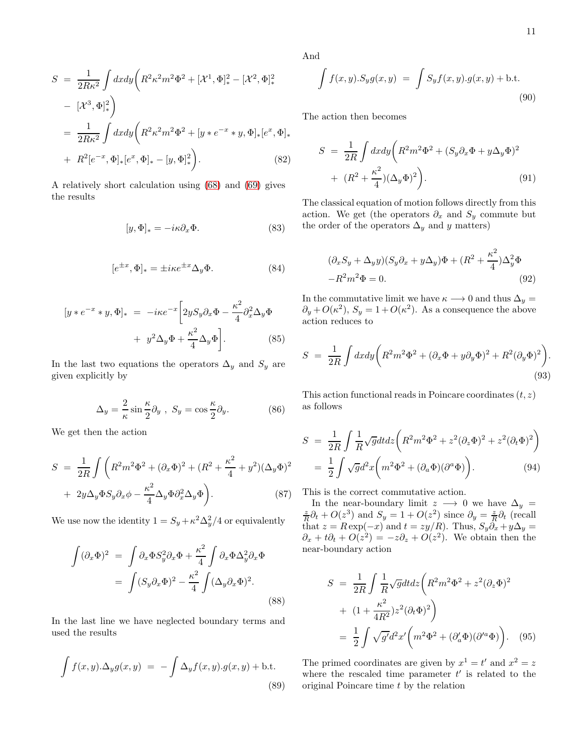$$
S = \frac{1}{2R\kappa^2} \int dx dy \left( R^2 \kappa^2 m^2 \Phi^2 + [\mathcal{X}^1, \Phi]_*^2 - [\mathcal{X}^2, \Phi]_*^2 \right)
$$
  
\n
$$
- [\mathcal{X}^3, \Phi]_*^2 \right)
$$
  
\n
$$
= \frac{1}{2R\kappa^2} \int dx dy \left( R^2 \kappa^2 m^2 \Phi^2 + [y * e^{-x} * y, \Phi]_* [e^x, \Phi]_* \right)
$$
  
\n
$$
+ R^2 [e^{-x}, \Phi]_* [e^x, \Phi]_* - [y, \Phi]_*^2 \right). \tag{82}
$$

A relatively short calculation using [\(68\)](#page-8-4) and [\(69\)](#page-8-5) gives the results

$$
[y, \Phi]_* = -i\kappa \partial_x \Phi. \tag{83}
$$

$$
[e^{\pm x}, \Phi]_{*} = \pm i\kappa e^{\pm x} \Delta_y \Phi. \tag{84}
$$

$$
[y * e^{-x} * y, \Phi]_{*} = -i\kappa e^{-x} \left[ 2yS_y \partial_x \Phi - \frac{\kappa^2}{4} \partial_x^2 \Delta_y \Phi + y^2 \Delta_y \Phi + \frac{\kappa^2}{4} \Delta_y \Phi \right].
$$
 (85)

In the last two equations the operators  $\Delta_y$  and  $S_y$  are given explicitly by

$$
\Delta_y = \frac{2}{\kappa} \sin \frac{\kappa}{2} \partial_y , \ S_y = \cos \frac{\kappa}{2} \partial_y.
$$
 (86)

We get then the action

$$
S = \frac{1}{2R} \int \left( R^2 m^2 \Phi^2 + (\partial_x \Phi)^2 + (R^2 + \frac{\kappa^2}{4} + y^2)(\Delta_y \Phi)^2 + 2y \Delta_y \Phi S_y \partial_x \phi - \frac{\kappa^2}{4} \Delta_y \Phi \partial_x^2 \Delta_y \Phi \right). \tag{87}
$$

We use now the identity  $1 = S_y + \kappa^2 \Delta_y^2 / 4$  or equivalently

$$
\int (\partial_x \Phi)^2 = \int \partial_x \Phi S_y^2 \partial_x \Phi + \frac{\kappa^2}{4} \int \partial_x \Phi \Delta_y^2 \partial_x \Phi
$$

$$
= \int (S_y \partial_x \Phi)^2 - \frac{\kappa^2}{4} \int (\Delta_y \partial_x \Phi)^2.
$$
(88)

In the last line we have neglected boundary terms and used the results

$$
\int f(x,y) \Delta_y g(x,y) = -\int \Delta_y f(x,y) \cdot g(x,y) + \text{b.t.}
$$
\n(89)

And

$$
\int f(x,y).S_y g(x,y) = \int S_y f(x,y).g(x,y) + \text{b.t.}
$$
\n(90)

The action then becomes

$$
S = \frac{1}{2R} \int dx dy \left( R^2 m^2 \Phi^2 + (S_y \partial_x \Phi + y \Delta_y \Phi)^2 + (R^2 + \frac{\kappa^2}{4}) (\Delta_y \Phi)^2 \right).
$$
 (91)

The classical equation of motion follows directly from this action. We get (the operators  $\partial_x$  and  $S_y$  commute but the order of the operators  $\Delta_y$  and y matters)

<span id="page-10-0"></span>
$$
(\partial_x S_y + \Delta_y y)(S_y \partial_x + y \Delta_y) \Phi + (R^2 + \frac{\kappa^2}{4}) \Delta_y^2 \Phi
$$

$$
-R^2 m^2 \Phi = 0.
$$
(92)

In the commutative limit we have  $\kappa \longrightarrow 0$  and thus  $\Delta_y =$  $\partial_y + O(\kappa^2)$ ,  $S_y = 1 + O(\kappa^2)$ . As a consequence the above action reduces to

$$
S = \frac{1}{2R} \int dx dy \bigg( R^2 m^2 \Phi^2 + (\partial_x \Phi + y \partial_y \Phi)^2 + R^2 (\partial_y \Phi)^2 \bigg). \tag{93}
$$

This action functional reads in Poincare coordinates  $(t, z)$ as follows

$$
S = \frac{1}{2R} \int \frac{1}{R} \sqrt{g} dt dz \left( R^2 m^2 \Phi^2 + z^2 (\partial_z \Phi)^2 + z^2 (\partial_t \Phi)^2 \right)
$$
  
= 
$$
\frac{1}{2} \int \sqrt{g} d^2 x \left( m^2 \Phi^2 + (\partial_a \Phi)(\partial^a \Phi) \right).
$$
 (94)

This is the correct commutative action.

In the near-boundary limit  $z \rightarrow 0$  we have  $\Delta_y =$  $\frac{z}{R}\partial_t + O(z^3)$  and  $S_y = 1 + O(z^2)$  since  $\partial_y = \frac{z}{R}\partial_t$  (recall that  $z = R \exp(-x)$  and  $t = zy/R$ . Thus,  $S_y \partial_x + y \Delta_y =$  $\partial_x + t\partial_t + O(z^2) = -z\partial_z + O(z^2)$ . We obtain then the near-boundary action

<span id="page-10-1"></span>
$$
S = \frac{1}{2R} \int \frac{1}{R} \sqrt{g} dt dz \left( R^2 m^2 \Phi^2 + z^2 (\partial_z \Phi)^2 + (1 + \frac{\kappa^2}{4R^2}) z^2 (\partial_t \Phi)^2 \right)
$$
  
= 
$$
\frac{1}{2} \int \sqrt{g'} d^2 x' \left( m^2 \Phi^2 + (\partial'_a \Phi)(\partial'^a \Phi) \right).
$$
 (95)

The primed coordinates are given by  $x^1 = t'$  and  $x^2 = z$ where the rescaled time parameter  $t'$  is related to the original Poincare time t by the relation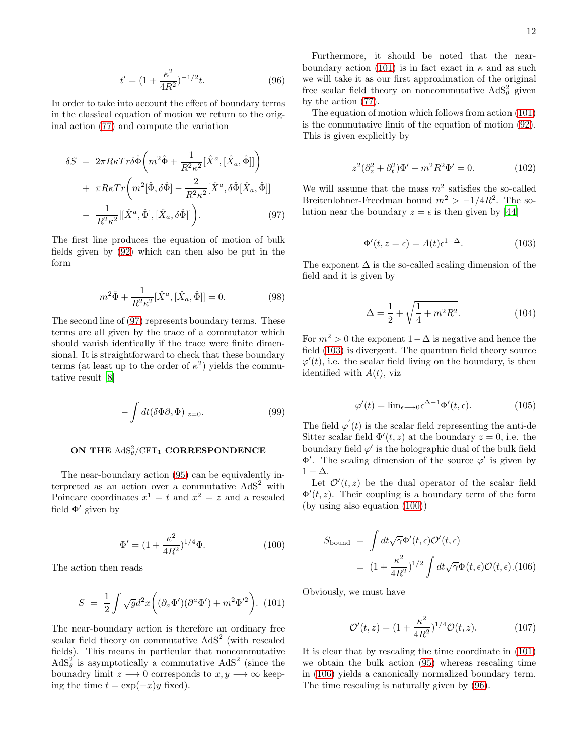<span id="page-11-6"></span>
$$
t' = (1 + \frac{\kappa^2}{4R^2})^{-1/2}t.
$$
\n(96)

In order to take into account the effect of boundary terms in the classical equation of motion we return to the original action [\(77\)](#page-9-1) and compute the variation

<span id="page-11-1"></span>
$$
\delta S = 2\pi R\kappa Tr \delta \hat{\Phi} \left( m^2 \hat{\Phi} + \frac{1}{R^2 \kappa^2} [\hat{X}^a, [\hat{X}_a, \hat{\Phi}]] \right) \n+ \pi R\kappa Tr \left( m^2 [\hat{\Phi}, \delta \hat{\Phi}] - \frac{2}{R^2 \kappa^2} [\hat{X}^a, \delta \hat{\Phi} [\hat{X}_a, \hat{\Phi}]] \right) \n- \frac{1}{R^2 \kappa^2} [ [\hat{X}^a, \hat{\Phi}], [\hat{X}_a, \delta \hat{\Phi}]] \right).
$$
\n(97)

The first line produces the equation of motion of bulk fields given by [\(92\)](#page-10-0) which can then also be put in the form

$$
m^{2}\hat{\Phi} + \frac{1}{R^{2}\kappa^{2}}[\hat{X}^{a}, [\hat{X}_{a}, \hat{\Phi}]] = 0.
$$
 (98)

The second line of [\(97\)](#page-11-1) represents boundary terms. These terms are all given by the trace of a commutator which should vanish identically if the trace were finite dimensional. It is straightforward to check that these boundary terms (at least up to the order of  $\kappa^2$ ) yields the commutative result [\[8\]](#page-21-7)

$$
-\int dt (\delta \Phi \partial_z \Phi)|_{z=0}.\tag{99}
$$

# <span id="page-11-0"></span>ON THE  $\text{AdS}_{\theta}^2/\text{CFT}_1$  CORRESPONDENCE

The near-boundary action [\(95\)](#page-10-1) can be equivalently interpreted as an action over a commutative  $AdS<sup>2</sup>$  with Poincare coordinates  $x^1 = t$  and  $x^2 = z$  and a rescaled field  $\Phi'$  given by

<span id="page-11-4"></span>
$$
\Phi' = (1 + \frac{\kappa^2}{4R^2})^{1/4}\Phi.
$$
 (100)

The action then reads

<span id="page-11-2"></span>
$$
S = \frac{1}{2} \int \sqrt{g} d^2 x \left( (\partial_a \Phi') (\partial^a \Phi') + m^2 \Phi'^2 \right). (101)
$$

The near-boundary action is therefore an ordinary free scalar field theory on commutative  $AdS<sup>2</sup>$  (with rescaled fields). This means in particular that noncommutative  $AdS^2_\theta$  is asymptotically a commutative  $AdS^2$  (since the bounadry limit  $z \rightarrow 0$  corresponds to  $x, y \rightarrow \infty$  keeping the time  $t = \exp(-x)y$  fixed).

Furthermore, it should be noted that the near-boundary action [\(101\)](#page-11-2) is in fact exact in  $\kappa$  and as such we will take it as our first approximation of the original free scalar field theory on noncommutative  $AdS^2_\theta$  given by the action [\(77\)](#page-9-1).

The equation of motion which follows from action [\(101\)](#page-11-2) is the commutative limit of the equation of motion [\(92\)](#page-10-0). This is given explicitly by

<span id="page-11-9"></span>
$$
z^{2}(\partial_{z}^{2} + \partial_{t}^{2})\Phi' - m^{2}R^{2}\Phi' = 0.
$$
 (102)

We will assume that the mass  $m^2$  satisfies the so-called Breitenlohner-Freedman bound  $m^2 > -1/4R^2$ . The solution near the boundary  $z = \epsilon$  is then given by [\[44\]](#page-22-34)

<span id="page-11-3"></span>
$$
\Phi'(t, z = \epsilon) = A(t)\epsilon^{1-\Delta}.
$$
\n(103)

The exponent  $\Delta$  is the so-called scaling dimension of the field and it is given by

$$
\Delta = \frac{1}{2} + \sqrt{\frac{1}{4} + m^2 R^2}.
$$
 (104)

For  $m^2 > 0$  the exponent  $1-\Delta$  is negative and hence the field [\(103\)](#page-11-3) is divergent. The quantum field theory source  $\varphi'(t)$ , i.e. the scalar field living on the boundary, is then identified with  $A(t)$ , viz

<span id="page-11-8"></span>
$$
\varphi'(t) = \lim_{\epsilon \to 0} \epsilon^{\Delta - 1} \Phi'(t, \epsilon).
$$
 (105)

The field  $\varphi'(t)$  is the scalar field representing the anti-de Sitter scalar field  $\Phi'(t, z)$  at the boundary  $z = 0$ , i.e. the boundary field  $\varphi'$  is the holographic dual of the bulk field  $\Phi'$ . The scaling dimension of the source  $\varphi'$  is given by  $1 - \Delta$ .

Let  $\mathcal{O}'(t,z)$  be the dual operator of the scalar field  $\Phi'(t, z)$ . Their coupling is a boundary term of the form (by using also equation [\(100\)](#page-11-4))

<span id="page-11-5"></span>
$$
S_{\text{bound}} = \int dt \sqrt{\gamma} \Phi'(t, \epsilon) \mathcal{O}'(t, \epsilon)
$$
  
= 
$$
(1 + \frac{\kappa^2}{4R^2})^{1/2} \int dt \sqrt{\gamma} \Phi(t, \epsilon) \mathcal{O}(t, \epsilon). (106)
$$

Obviously, we must have

<span id="page-11-7"></span>
$$
\mathcal{O}'(t,z) = (1 + \frac{\kappa^2}{4R^2})^{1/4}\mathcal{O}(t,z). \tag{107}
$$

It is clear that by rescaling the time coordinate in [\(101\)](#page-11-2) we obtain the bulk action [\(95\)](#page-10-1) whereas rescaling time in [\(106\)](#page-11-5) yields a canonically normalized boundary term. The time rescaling is naturally given by [\(96\)](#page-11-6).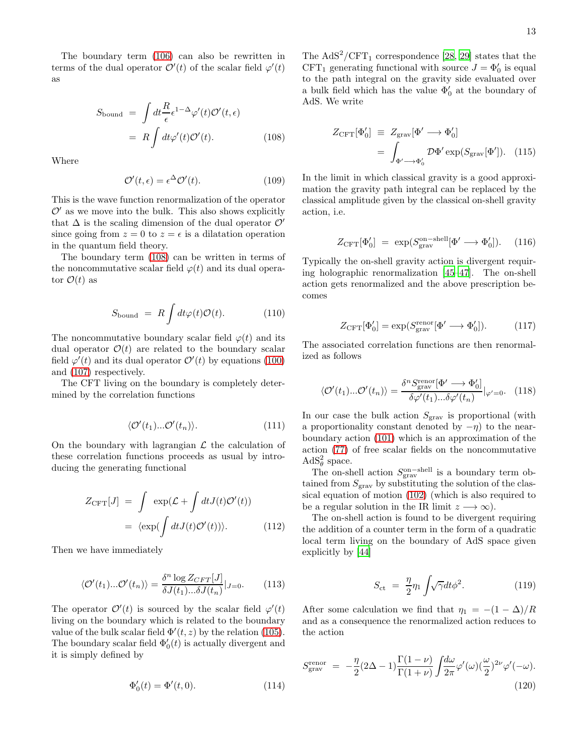The boundary term [\(106\)](#page-11-5) can also be rewritten in terms of the dual operator  $\mathcal{O}'(t)$  of the scalar field  $\varphi'(t)$ as

<span id="page-12-0"></span>
$$
S_{\text{bound}} = \int dt \frac{R}{\epsilon} \epsilon^{1-\Delta} \varphi'(t) \mathcal{O}'(t, \epsilon)
$$

$$
= R \int dt \varphi'(t) \mathcal{O}'(t). \qquad (108)
$$

Where

$$
\mathcal{O}'(t,\epsilon) = \epsilon^{\Delta} \mathcal{O}'(t). \tag{109}
$$

This is the wave function renormalization of the operator  $\mathcal{O}'$  as we move into the bulk. This also shows explicitly that  $\Delta$  is the scaling dimension of the dual operator  $\mathcal{O}'$ since going from  $z = 0$  to  $z = \epsilon$  is a dilatation operation in the quantum field theory.

The boundary term [\(108\)](#page-12-0) can be written in terms of the noncommutative scalar field  $\varphi(t)$  and its dual operator  $\mathcal{O}(t)$  as

$$
S_{\text{bound}} = R \int dt \varphi(t) \mathcal{O}(t). \tag{110}
$$

The noncommutative boundary scalar field  $\varphi(t)$  and its dual operator  $\mathcal{O}(t)$  are related to the boundary scalar field  $\varphi'(t)$  and its dual operator  $\mathcal{O}'(t)$  by equations [\(100\)](#page-11-4) and [\(107\)](#page-11-7) respectively.

The CFT living on the boundary is completely determined by the correlation functions

$$
\langle \mathcal{O}'(t_1)...\mathcal{O}'(t_n)\rangle. \tag{111}
$$

On the boundary with lagrangian  $\mathcal L$  the calculation of these correlation functions proceeds as usual by introducing the generating functional

$$
Z_{\text{CFT}}[J] = \int \exp(\mathcal{L} + \int dt J(t) \mathcal{O}'(t))
$$

$$
= \langle \exp(\int dt J(t) \mathcal{O}'(t)) \rangle. \tag{112}
$$

Then we have immediately

$$
\langle \mathcal{O}'(t_1)...\mathcal{O}'(t_n)\rangle = \frac{\delta^n \log Z_{CFT}[J]}{\delta J(t_1)...\delta J(t_n)}|_{J=0}.
$$
 (113)

The operator  $\mathcal{O}'(t)$  is sourced by the scalar field  $\varphi'(t)$ living on the boundary which is related to the boundary value of the bulk scalar field  $\Phi'(t, z)$  by the relation [\(105\)](#page-11-8). The boundary scalar field  $\Phi'_0(t)$  is actually divergent and it is simply defined by

$$
\Phi'_0(t) = \Phi'(t, 0). \tag{114}
$$

The  $AdS^2/CFT_1$  correspondence [\[28,](#page-22-11) [29](#page-22-12)] states that the CFT<sub>1</sub> generating functional with source  $J = \Phi'_0$  is equal to the path integral on the gravity side evaluated over a bulk field which has the value  $\Phi_0'$  at the boundary of AdS. We write

$$
Z_{\text{CFT}}[\Phi'_0] \equiv Z_{\text{grav}}[\Phi' \longrightarrow \Phi'_0]
$$
  
= 
$$
\int_{\Phi' \longrightarrow \Phi'_0} \mathcal{D}\Phi' \exp(S_{\text{grav}}[\Phi']). \quad (115)
$$

In the limit in which classical gravity is a good approximation the gravity path integral can be replaced by the classical amplitude given by the classical on-shell gravity action, i.e.

$$
Z_{\text{CFT}}[\Phi'_0] = \exp(S_{\text{grav}}^{\text{on-shell}}[\Phi' \longrightarrow \Phi'_0]). \quad (116)
$$

Typically the on-shell gravity action is divergent requiring holographic renormalization [\[45](#page-22-35)[–47\]](#page-22-36). The on-shell action gets renormalized and the above prescription becomes

$$
Z_{\text{CFT}}[\Phi'_0] = \exp(S_{\text{grav}}^{\text{renor}}[\Phi' \longrightarrow \Phi'_0]). \tag{117}
$$

The associated correlation functions are then renormalized as follows

$$
\langle \mathcal{O}'(t_1)...\mathcal{O}'(t_n)\rangle = \frac{\delta^n S_{\text{grav}}^{\text{renor}}[\Phi'\longrightarrow \Phi'_0]}{\delta \varphi'(t_1)...\delta \varphi'(t_n)}|_{\varphi'=0}.
$$
 (118)

In our case the bulk action  $S_{\text{grav}}$  is proportional (with a proportionality constant denoted by  $-\eta$ ) to the nearboundary action [\(101\)](#page-11-2) which is an approximation of the action [\(77\)](#page-9-1) of free scalar fields on the noncommutative  $AdS^2_{\theta}$  space.

The on-shell action  $S_{\text{grav}}^{\text{on-shell}}$  is a boundary term obtained from  $S_{\text{grav}}$  by substituting the solution of the classical equation of motion [\(102\)](#page-11-9) (which is also required to be a regular solution in the IR limit  $z \rightarrow \infty$ ).

The on-shell action is found to be divergent requiring the addition of a counter term in the form of a quadratic local term living on the boundary of AdS space given explicitly by [\[44\]](#page-22-34)

$$
S_{\rm ct} = \frac{\eta}{2} \eta_1 \int \sqrt{\gamma} dt \phi^2.
$$
 (119)

After some calculation we find that  $\eta_1 = -(1 - \Delta)/R$ and as a consequence the renormalized action reduces to the action

$$
S_{\text{grav}}^{\text{renor}} = -\frac{\eta}{2} (2\Delta - 1) \frac{\Gamma(1-\nu)}{\Gamma(1+\nu)} \int \frac{d\omega}{2\pi} \varphi'(\omega) (\frac{\omega}{2})^{2\nu} \varphi'(-\omega). \tag{120}
$$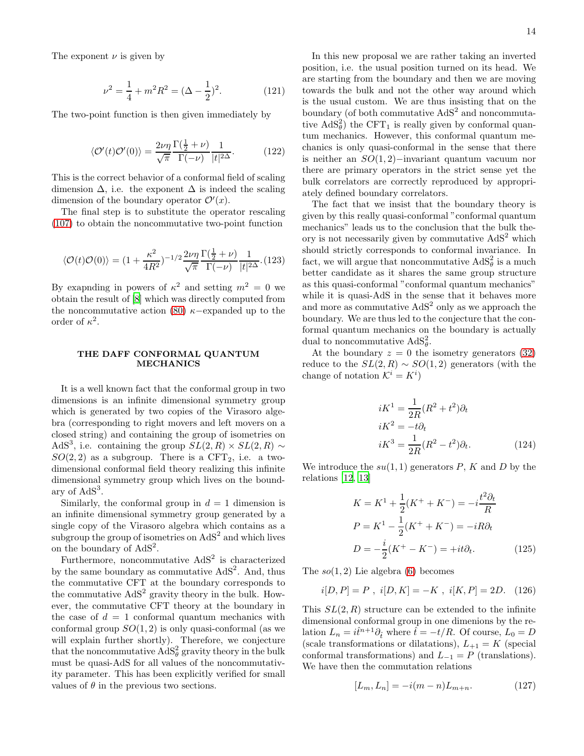The exponent  $\nu$  is given by

$$
\nu^2 = \frac{1}{4} + m^2 R^2 = (\Delta - \frac{1}{2})^2.
$$
 (121)

The two-point function is then given immediately by

$$
\langle \mathcal{O}'(t)\mathcal{O}'(0)\rangle = \frac{2\nu\eta}{\sqrt{\pi}} \frac{\Gamma(\frac{1}{2}+\nu)}{\Gamma(-\nu)} \frac{1}{|t|^{2\Delta}}.\tag{122}
$$

This is the correct behavior of a conformal field of scaling dimension  $\Delta$ , i.e. the exponent  $\Delta$  is indeed the scaling dimension of the boundary operator  $\mathcal{O}'(x)$ .

The final step is to substitute the operator rescaling [\(107\)](#page-11-7) to obtain the noncommutative two-point function

$$
\langle \mathcal{O}(t)\mathcal{O}(0)\rangle = (1 + \frac{\kappa^2}{4R^2})^{-1/2} \frac{2\nu\eta}{\sqrt{\pi}} \frac{\Gamma(\frac{1}{2} + \nu)}{\Gamma(-\nu)} \frac{1}{|t|^{2\Delta}}.(123)
$$

By exapnding in powers of  $\kappa^2$  and setting  $m^2 = 0$  we obtain the result of [\[8](#page-21-7)] which was directly computed from the noncommutative action [\(80\)](#page-9-2)  $\kappa$ −expanded up to the order of  $\kappa^2$ .

#### <span id="page-13-0"></span>THE DAFF CONFORMAL QUANTUM **MECHANICS**

It is a well known fact that the conformal group in two dimensions is an infinite dimensional symmetry group which is generated by two copies of the Virasoro algebra (corresponding to right movers and left movers on a closed string) and containing the group of isometries on AdS<sup>3</sup>, i.e. containing the group  $SL(2, R) \times SL(2, R) \sim$  $SO(2, 2)$  as a subgroup. There is a CFT<sub>2</sub>, i.e. a twodimensional conformal field theory realizing this infinite dimensional symmetry group which lives on the boundary of  $AdS<sup>3</sup>$ .

Similarly, the conformal group in  $d = 1$  dimension is an infinite dimensional symmetry group generated by a single copy of the Virasoro algebra which contains as a subgroup the group of isometries on  $AdS^2$  and which lives on the boundary of  $AdS^2$ .

Furthermore, noncommutative AdS<sup>2</sup> is characterized by the same boundary as commutative  $AdS<sup>2</sup>$ . And, thus the commutative CFT at the boundary corresponds to the commutative  $AdS^2$  gravity theory in the bulk. However, the commutative CFT theory at the boundary in the case of  $d = 1$  conformal quantum mechanics with conformal group  $SO(1, 2)$  is only quasi-conformal (as we will explain further shortly). Therefore, we conjecture that the noncommutative  $\text{AdS}_{\theta}^2$  gravity theory in the bulk must be quasi-AdS for all values of the noncommutativity parameter. This has been explicitly verified for small values of  $\theta$  in the previous two sections.

In this new proposal we are rather taking an inverted position, i.e. the usual position turned on its head. We are starting from the boundary and then we are moving towards the bulk and not the other way around which is the usual custom. We are thus insisting that on the boundary (of both commutative  $AdS<sup>2</sup>$  and noncommutative  $AdS<sup>2</sup><sub>\theta</sub>$  is really given by conformal quantum mechanics. However, this conformal quantum mechanics is only quasi-conformal in the sense that there is neither an  $SO(1, 2)$ −invariant quantum vacuum nor there are primary operators in the strict sense yet the bulk correlators are correctly reproduced by appropriately defined boundary correlators.

The fact that we insist that the boundary theory is given by this really quasi-conformal "conformal quantum mechanics" leads us to the conclusion that the bulk theory is not necessarily given by commutative  $AdS<sup>2</sup>$  which should strictly corresponds to conformal invariance. In fact, we will argue that noncommutative  $AdS^2_\theta$  is a much better candidate as it shares the same group structure as this quasi-conformal "conformal quantum mechanics" while it is quasi-AdS in the sense that it behaves more and more as commutative  $AdS^2$  only as we approach the boundary. We are thus led to the conjecture that the conformal quantum mechanics on the boundary is actually dual to noncommutative  $AdS^2_{\theta}$ .

At the boundary  $z = 0$  the isometry generators [\(32\)](#page-5-2) reduce to the  $SL(2, R) \sim SO(1, 2)$  generators (with the change of notation  $\mathcal{K}^i = K^i$ 

$$
iK^1 = \frac{1}{2R}(R^2 + t^2)\partial_t
$$
  
\n
$$
iK^2 = -t\partial_t
$$
  
\n
$$
iK^3 = \frac{1}{2R}(R^2 - t^2)\partial_t.
$$
\n(124)

We introduce the  $su(1, 1)$  generators P, K and D by the relations [\[12](#page-22-25), [13](#page-22-26)]

$$
K = K^{1} + \frac{1}{2}(K^{+} + K^{-}) = -i\frac{t^{2}\partial_{t}}{R}
$$

$$
P = K^{1} - \frac{1}{2}(K^{+} + K^{-}) = -iR\partial_{t}
$$

$$
D = -\frac{i}{2}(K^{+} - K^{-}) = +it\partial_{t}.
$$
(125)

The  $so(1, 2)$  Lie algebra [\(6\)](#page-3-1) becomes

<span id="page-13-1"></span>
$$
i[D, P] = P , i[D, K] = -K , i[K, P] = 2D. (126)
$$

This  $SL(2, R)$  structure can be extended to the infinite dimensional conformal group in one dimenions by the relation  $L_n = i\hat{t}^{n+1}\partial_{\hat{t}}$  where  $\hat{t} = -t/R$ . Of course,  $L_0 = D$ (scale transformations or dilatations),  $L_{+1} = K$  (special conformal transformations) and  $L_{-1} = P$  (translations). We have then the commutation relations

$$
[L_m, L_n] = -i(m - n)L_{m+n}.
$$
 (127)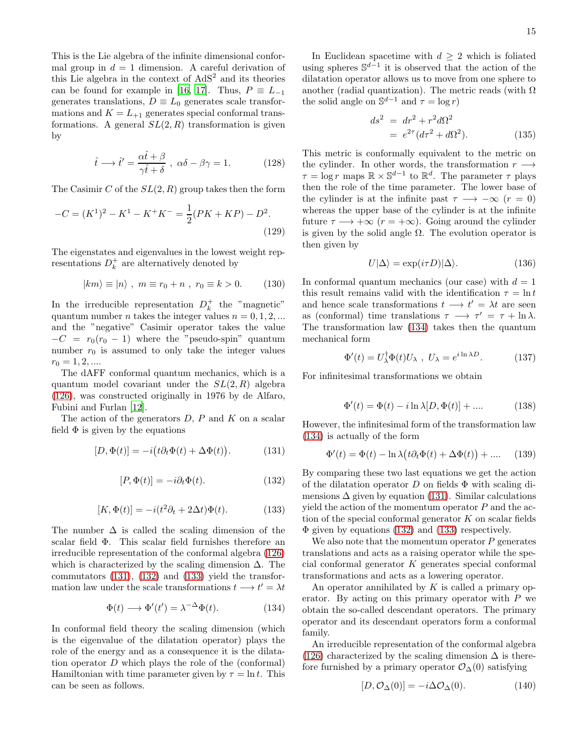This is the Lie algebra of the infinite dimensional conformal group in  $d = 1$  dimension. A careful derivation of this Lie algebra in the context of  $AdS^2$  and its theories can be found for example in [\[16](#page-22-23), [17](#page-22-24)]. Thus,  $P \equiv L_{-1}$ generates translations,  $D \equiv L_0$  generates scale transformations and  $K = L_{+1}$  generates special conformal transformations. A general  $SL(2, R)$  transformation is given by

$$
\hat{t} \longrightarrow \hat{t}' = \frac{\alpha \hat{t} + \beta}{\gamma \hat{t} + \delta} , \ \alpha \delta - \beta \gamma = 1.
$$
 (128)

The Casimir C of the  $SL(2, R)$  group takes then the form

$$
-C = (K^1)^2 - K^1 - K^+K^- = \frac{1}{2}(PK + KP) - D^2.
$$
\n(129)

The eigenstates and eigenvalues in the lowest weight representations  $D_k^+$  are alternatively denoted by

<span id="page-14-5"></span>
$$
|km\rangle \equiv |n\rangle \ , \ m \equiv r_0 + n \ , \ r_0 \equiv k > 0. \qquad (130)
$$

In the irreducible representation  $D_k^+$  the "magnetic" quantum number *n* takes the integer values  $n = 0, 1, 2, ...$ and the "negative" Casimir operator takes the value  $-C = r_0(r_0 - 1)$  where the "pseudo-spin" quantum number  $r_0$  is assumed to only take the integer values  $r_0 = 1, 2, \dots$ 

The dAFF conformal quantum mechanics, which is a quantum model covariant under the  $SL(2, R)$  algebra [\(126\)](#page-13-1), was constructed originally in 1976 by de Alfaro, Fubini and Furlan [\[12\]](#page-22-25).

The action of the generators  $D, P$  and  $K$  on a scalar field  $\Phi$  is given by the equations

<span id="page-14-1"></span>
$$
[D, \Phi(t)] = -i(t\partial_t \Phi(t) + \Delta\Phi(t)). \tag{131}
$$

<span id="page-14-2"></span>
$$
[P, \Phi(t)] = -i\partial_t \Phi(t). \tag{132}
$$

<span id="page-14-3"></span>
$$
[K, \Phi(t)] = -i(t^2 \partial_t + 2\Delta t)\Phi(t). \tag{133}
$$

The number  $\Delta$  is called the scaling dimension of the scalar field Φ. This scalar field furnishes therefore an irreducible representation of the conformal algebra [\(126\)](#page-13-1) which is characterized by the scaling dimension  $\Delta$ . The commutators [\(131\)](#page-14-1), [\(132\)](#page-14-2) and [\(133\)](#page-14-3) yield the transformation law under the scale transformations  $t \longrightarrow t' = \lambda t$ 

<span id="page-14-4"></span>
$$
\Phi(t) \longrightarrow \Phi'(t') = \lambda^{-\Delta} \Phi(t). \tag{134}
$$

In conformal field theory the scaling dimension (which is the eigenvalue of the dilatation operator) plays the role of the energy and as a consequence it is the dilatation operator D which plays the role of the (conformal) Hamiltonian with time parameter given by  $\tau = \ln t$ . This can be seen as follows.

In Euclidean spacetime with  $d \geq 2$  which is foliated using spheres  $\mathbb{S}^{d-1}$  it is observed that the action of the dilatation operator allows us to move from one sphere to another (radial quantization). The metric reads (with  $\Omega$ the solid angle on  $\mathbb{S}^{d-1}$  and  $\tau = \log r$ )

$$
ds2 = dr2 + r2d\Omega2
$$
  
=  $e^{2\tau}(d\tau^{2} + d\Omega^{2}).$  (135)

This metric is conformally equivalent to the metric on the cylinder. In other words, the transformation  $r \rightarrow$  $\tau = \log r$  maps  $\mathbb{R} \times \mathbb{S}^{d-1}$  to  $\mathbb{R}^d$ . The parameter  $\tau$  plays then the role of the time parameter. The lower base of the cylinder is at the infinite past  $\tau \longrightarrow -\infty$  ( $r = 0$ ) whereas the upper base of the cylinder is at the infinite future  $\tau \longrightarrow +\infty$  ( $r = +\infty$ ). Going around the cylinder is given by the solid angle  $\Omega$ . The evolution operator is then given by

$$
U|\Delta\rangle = \exp(i\tau D)|\Delta\rangle. \tag{136}
$$

In conformal quantum mechanics (our case) with  $d = 1$ this result remains valid with the identification  $\tau = \ln t$ and hence scale transformations  $t \longrightarrow t' = \lambda t$  are seen as (conformal) time translations  $\tau \longrightarrow \tau' = \tau + \ln \lambda$ . The transformation law [\(134\)](#page-14-4) takes then the quantum mechanical form

$$
\Phi'(t) = U_{\lambda}^{\dagger} \Phi(t) U_{\lambda} , U_{\lambda} = e^{i \ln \lambda D}.
$$
 (137)

For infinitesimal transformations we obtain

$$
\Phi'(t) = \Phi(t) - i \ln \lambda[D, \Phi(t)] + \dots.
$$
 (138)

However, the infinitesimal form of the transformation law [\(134\)](#page-14-4) is actually of the form

$$
\Phi'(t) = \Phi(t) - \ln \lambda \left( t \partial_t \Phi(t) + \Delta \Phi(t) \right) + \dots \tag{139}
$$

By comparing these two last equations we get the action of the dilatation operator D on fields  $\Phi$  with scaling dimensions  $\Delta$  given by equation [\(131\)](#page-14-1). Similar calculations yield the action of the momentum operator  $P$  and the action of the special conformal generator  $K$  on scalar fields Φ given by equations [\(132\)](#page-14-2) and [\(133\)](#page-14-3) respectively.

We also note that the momentum operator  $P$  generates translations and acts as a raising operator while the special conformal generator K generates special conformal transformations and acts as a lowering operator.

An operator annihilated by  $K$  is called a primary operator. By acting on this primary operator with  $P$  we obtain the so-called descendant operators. The primary operator and its descendant operators form a conformal family.

An irreducible representation of the conformal algebra [\(126\)](#page-13-1) characterized by the scaling dimension  $\Delta$  is therefore furnished by a primary operator  $\mathcal{O}_{\Delta}(0)$  satisfying

<span id="page-14-0"></span>
$$
[D, \mathcal{O}_{\Delta}(0)] = -i\Delta \mathcal{O}_{\Delta}(0). \qquad (140)
$$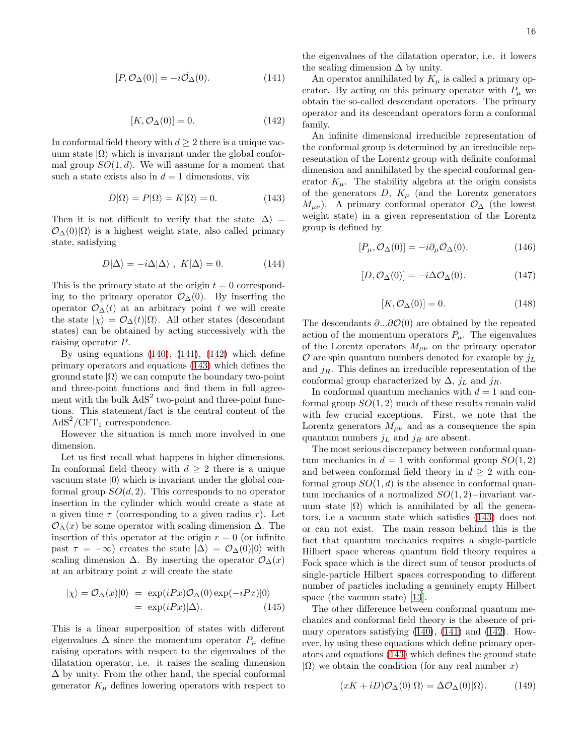<span id="page-15-1"></span><span id="page-15-0"></span>
$$
[K, \mathcal{O}_{\Delta}(0)] = 0. \tag{142}
$$

In conformal field theory with  $d \geq 2$  there is a unique vacuum state  $|\Omega\rangle$  which is invariant under the global conformal group  $SO(1, d)$ . We will assume for a moment that such a state exists also in  $d = 1$  dimensions, viz

<span id="page-15-2"></span>
$$
D|\Omega\rangle = P|\Omega\rangle = K|\Omega\rangle = 0.
$$
 (143)

Then it is not difficult to verify that the state  $|\Delta\rangle$  =  $\mathcal{O}_{\Delta}(0)|\Omega\rangle$  is a highest weight state, also called primary state, satisfying

$$
D|\Delta\rangle = -i\Delta|\Delta\rangle \ , \ K|\Delta\rangle = 0. \tag{144}
$$

This is the primary state at the origin  $t = 0$  corresponding to the primary operator  $\mathcal{O}_{\Delta}(0)$ . By inserting the operator  $\mathcal{O}_{\Delta}(t)$  at an arbitrary point t we will create the state  $|\chi\rangle = \mathcal{O}_{\Delta}(t)|\Omega\rangle$ . All other states (descendant states) can be obtained by acting successively with the raising operator P.

By using equations  $(140)$ ,  $(141)$ ,  $(142)$  which define primary operators and equations [\(143\)](#page-15-2) which defines the ground state  $|\Omega\rangle$  we can compute the boundary two-point and three-point functions and find them in full agreement with the bulk  $AdS^2$  two-point and three-point functions. This statement/fact is the central content of the  $AdS^2/CFT_1$  correspondence.

However the situation is much more involved in one dimension.

Let us first recall what happens in higher dimensions. In conformal field theory with  $d \geq 2$  there is a unique vacuum state  $|0\rangle$  which is invariant under the global conformal group  $SO(d, 2)$ . This corresponds to no operator insertion in the cylinder which would create a state at a given time  $\tau$  (corresponding to a given radius r). Let  $\mathcal{O}_{\Delta}(x)$  be some operator with scaling dimension  $\Delta$ . The insertion of this operator at the origin  $r = 0$  (or infinite past  $\tau = -\infty$ ) creates the state  $|\Delta\rangle = \mathcal{O}_{\Delta}(0)|0\rangle$  with scaling dimension  $\Delta$ . By inserting the operator  $\mathcal{O}_{\Delta}(x)$ at an arbitrary point  $x$  will create the state

$$
|\chi\rangle = \mathcal{O}_{\Delta}(x)|0\rangle = \exp(iPx)\mathcal{O}_{\Delta}(0)\exp(-iPx)|0\rangle
$$
  
=  $\exp(iPx)|\Delta\rangle$ . (145)

This is a linear superposition of states with different eigenvalues  $\Delta$  since the momentum operator  $P_\mu$  define raising operators with respect to the eigenvalues of the dilatation operator, i.e. it raises the scaling dimension ∆ by unity. From the other hand, the special conformal generator  $K_{\mu}$  defines lowering operators with respect to the eigenvalues of the dilatation operator, i.e. it lowers the scaling dimension  $\Delta$  by unity.

An operator annihilated by  $K_{\mu}$  is called a primary operator. By acting on this primary operator with  $P_\mu$  we obtain the so-called descendant operators. The primary operator and its descendant operators form a conformal family.

An infinite dimensional irreducible representation of the conformal group is determined by an irreducible representation of the Lorentz group with definite conformal dimension and annihilated by the special conformal generator  $K_{\mu}$ . The stability algebra at the origin consists of the generators  $D, K_{\mu}$  (and the Lorentz generators  $M_{\mu\nu}$ ). A primary conformal operator  $\mathcal{O}_{\Delta}$  (the lowest weight state) in a given representation of the Lorentz group is defined by

$$
[P_{\mu}, \mathcal{O}_{\Delta}(0)] = -i\partial_{\mu}\mathcal{O}_{\Delta}(0). \qquad (146)
$$

$$
[D, \mathcal{O}_{\Delta}(0)] = -i\Delta \mathcal{O}_{\Delta}(0). \qquad (147)
$$

$$
[K, \mathcal{O}_{\Delta}(0)] = 0. \tag{148}
$$

The descendants  $\partial...\partial\mathcal{O}(0)$  are obtained by the repeated action of the momentum operators  $P_\mu$ . The eigenvalues of the Lorentz operators  $M_{\mu\nu}$  on the primary operator  $\mathcal O$  are spin quantum numbers denoted for example by  $j_L$ and  $j_R$ . This defines an irreducible representation of the conformal group characterized by  $\Delta$ ,  $j_L$  and  $j_R$ .

In conformal quantum mechanics with  $d = 1$  and conformal group  $SO(1, 2)$  much of these results remain valid with few crucial exceptions. First, we note that the Lorentz generators  $M_{\mu\nu}$  and as a consequence the spin quantum numbers  $j_L$  and  $j_R$  are absent.

The most serious discrepancy between conformal quantum mechanics in  $d = 1$  with conformal group  $SO(1, 2)$ and between conformal field theory in  $d \geq 2$  with conformal group  $SO(1, d)$  is the absence in conformal quantum mechanics of a normalized  $SO(1, 2)$ −invariant vacuum state  $|\Omega\rangle$  which is annihilated by all the generators, i.e a vacuum state which satisfies [\(143\)](#page-15-2) does not or can not exist. The main reason behind this is the fact that quantum mechanics requires a single-particle Hilbert space whereas quantum field theory requires a Fock space which is the direct sum of tensor products of single-particle Hilbert spaces corresponding to different number of particles including a genuinely empty Hilbert space (the vacuum state) [\[13\]](#page-22-26).

The other difference between conformal quantum mechanics and conformal field theory is the absence of primary operators satisfying  $(140)$ ,  $(141)$  and  $(142)$ . However, by using these equations which define primary operators and equations [\(143\)](#page-15-2) which defines the ground state  $|\Omega\rangle$  we obtain the condition (for any real number x)

<span id="page-15-3"></span>
$$
(xK + iD)\mathcal{O}_{\Delta}(0)|\Omega\rangle = \Delta\mathcal{O}_{\Delta}(0)|\Omega\rangle.
$$
 (149)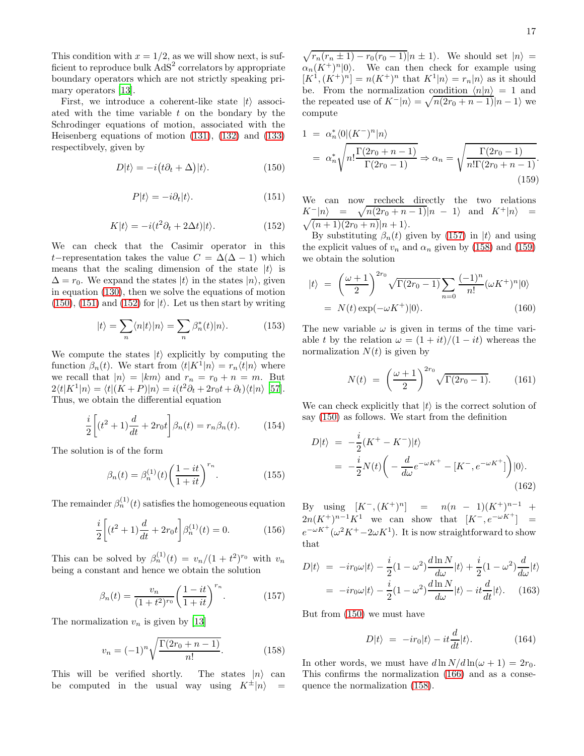This condition with  $x = 1/2$ , as we will show next, is sufficient to reproduce bulk  $AdS^2$  correlators by appropriate boundary operators which are not strictly speaking primary operators [\[13\]](#page-22-26).

First, we introduce a coherent-like state  $|t\rangle$  associated with the time variable t on the bondary by the Schrodinger equations of motion, associated with the Heisenberg equations of motion [\(131\)](#page-14-1), [\(132\)](#page-14-2) and [\(133\)](#page-14-3) respectibvely, given by

<span id="page-16-0"></span>
$$
D|t\rangle = -i\big(t\partial_t + \Delta\big)|t\rangle. \tag{150}
$$

<span id="page-16-1"></span>
$$
P|t\rangle = -i\partial_t|t\rangle. \tag{151}
$$

<span id="page-16-2"></span>
$$
K|t\rangle = -i(t^2\partial_t + 2\Delta t)|t\rangle.
$$
 (152)

We can check that the Casimir operator in this t−representation takes the value  $C = \Delta(\Delta - 1)$  which means that the scaling dimension of the state  $|t\rangle$  is  $\Delta = r_0$ . We expand the states  $|t\rangle$  in the states  $|n\rangle$ , given in equation [\(130\)](#page-14-5), then we solve the equations of motion  $(150)$ ,  $(151)$  and  $(152)$  for  $|t\rangle$ . Let us then start by writing

$$
|t\rangle = \sum_{n} \langle n|t\rangle |n\rangle = \sum_{n} \beta_{n}^{*}(t)|n\rangle. \tag{153}
$$

We compute the states  $|t\rangle$  explicitly by computing the function  $\beta_n(t)$ . We start from  $\langle t|K^1|n\rangle = r_n\langle t|n\rangle$  where we recall that  $|n\rangle = |km\rangle$  and  $r_n = r_0 + n = m$ . But  $2\langle t|K^1|n\rangle = \langle t|(K+P)|n\rangle = i(t^2\partial_t + 2r_0t + \partial_t)\langle t|n\rangle$  [\[57\]](#page-23-2). Thus, we obtain the differential equation

$$
\frac{i}{2}\left[ (t^2+1)\frac{d}{dt} + 2r_0t \right]\beta_n(t) = r_n\beta_n(t). \tag{154}
$$

The solution is of the form

$$
\beta_n(t) = \beta_n^{(1)}(t) \left( \frac{1 - it}{1 + it} \right)^{r_n}.
$$
 (155)

The remainder  $\beta_n^{(1)}(t)$  satisfies the homogeneous equation

$$
\frac{i}{2}\left[ (t^2+1)\frac{d}{dt} + 2r_0t \right] \beta_n^{(1)}(t) = 0.
$$
 (156)

This can be solved by  $\beta_n^{(1)}(t) = v_n/(1+t^2)^{r_0}$  with  $v_n$ being a constant and hence we obtain the solution

<span id="page-16-3"></span>
$$
\beta_n(t) = \frac{v_n}{(1+t^2)^{r_0}} \left(\frac{1-it}{1+it}\right)^{r_n}.
$$
 (157)

The normalization  $v_n$  is given by [\[13\]](#page-22-26)

<span id="page-16-4"></span>
$$
v_n = (-1)^n \sqrt{\frac{\Gamma(2r_0 + n - 1)}{n!}}.
$$
 (158)

This will be verified shortly. The states  $|n\rangle$  can<br>be computed in the usual way using  $K^{\pm} |n\rangle$  = be computed in the usual way using  $K^{\pm}|\eta\rangle$ 

 $\sqrt{r_n(r_n \pm 1) - r_0(r_0 - 1)}|n \pm 1\rangle$ . We should set  $|n\rangle =$  $\alpha_n(K^+)^n |0\rangle$ . We can then check for example using  $[K^1, (K^+)^n] = n(K^+)^n$  that  $K^1|n\rangle = r_n|n\rangle$  as it should be. From the normalization condition  $\langle n|n \rangle = 1$  and the repeated use of  $K^-|n\rangle = \sqrt{n(2r_0 + n - 1)}|n-1\rangle$  we compute

<span id="page-16-5"></span>
$$
1 = \alpha_n^* \langle 0 | (K^-)^n | n \rangle
$$
  
=  $\alpha_n^* \sqrt{n! \frac{\Gamma(2r_0 + n - 1)}{\Gamma(2r_0 - 1)}} \Rightarrow \alpha_n = \sqrt{\frac{\Gamma(2r_0 - 1)}{n! \Gamma(2r_0 + n - 1)}}.$   
(159)

We can now recheck directly the two relations  $K^-|n\rangle = \sqrt{n(2r_0 + n - 1)}|n - 1\rangle$  and  $K^+|n\rangle =$  $\sqrt{(n+1)(2r_0+n)}|n+1\rangle.$ 

By substituting  $\beta_n(t)$  given by [\(157\)](#page-16-3) in  $|t\rangle$  and using the explicit values of  $v_n$  and  $\alpha_n$  given by [\(158\)](#page-16-4) and [\(159\)](#page-16-5) we obtain the solution

$$
|t\rangle = \left(\frac{\omega+1}{2}\right)^{2r_0} \sqrt{\Gamma(2r_0-1)} \sum_{n=0} \frac{(-1)^n}{n!} (\omega K^+)^n |0\rangle
$$
  
=  $N(t) \exp(-\omega K^+)|0\rangle.$  (160)

The new variable  $\omega$  is given in terms of the time variable t by the relation  $\omega = (1 + it)/(1 - it)$  whereas the normalization  $N(t)$  is given by

$$
N(t) = \left(\frac{\omega + 1}{2}\right)^{2r_0} \sqrt{\Gamma(2r_0 - 1)}.
$$
 (161)

We can check explicitly that  $|t\rangle$  is the correct solution of say [\(150\)](#page-16-0) as follows. We start from the definition

$$
D|t\rangle = -\frac{i}{2}(K^+ - K^-)|t\rangle
$$
  
=  $-\frac{i}{2}N(t)\left(-\frac{d}{d\omega}e^{-\omega K^+} - [K^-, e^{-\omega K^+}]\right)|0\rangle.$  (162)

By using  $[K^-, (K^+)^n] = n(n - 1)(K^+)^{n-1}$  $2n(K^+)^{n-1}K^1$  we can show that  $[K^-, e^{-\omega K^+}]$  =  $e^{-\omega K^+}(\omega^2 K^+ - 2\omega K^1)$ . It is now straightforward to show that

$$
D|t\rangle = -ir_0\omega|t\rangle - \frac{i}{2}(1-\omega^2)\frac{d\ln N}{d\omega}|t\rangle + \frac{i}{2}(1-\omega^2)\frac{d}{d\omega}|t\rangle
$$

$$
= -ir_0\omega|t\rangle - \frac{i}{2}(1-\omega^2)\frac{d\ln N}{d\omega}|t\rangle - it\frac{d}{dt}|t\rangle. \quad (163)
$$

But from [\(150\)](#page-16-0) we must have

$$
D|t\rangle = -ir_0|t\rangle - it\frac{d}{dt}|t\rangle.
$$
 (164)

In other words, we must have  $d \ln N / d \ln(\omega + 1) = 2r_0$ . This confirms the normalization [\(166\)](#page-17-1) and as a consequence the normalization [\(158\)](#page-16-4).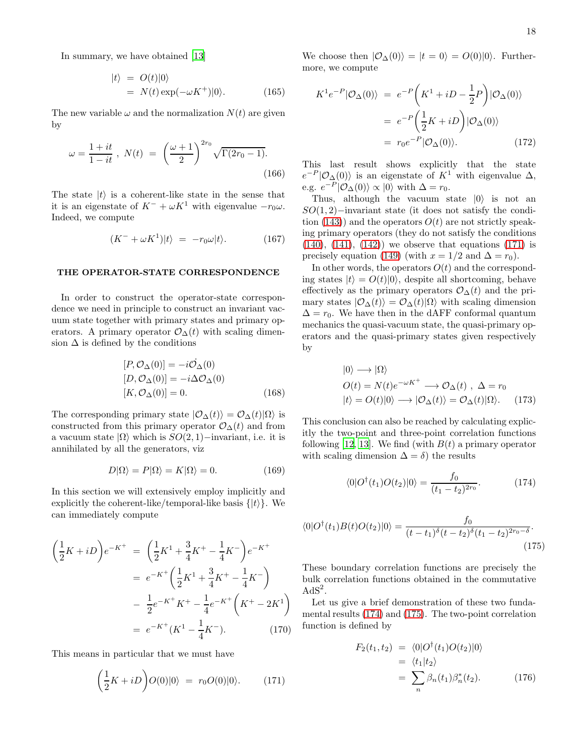In summary, we have obtained [\[13](#page-22-26)]

<span id="page-17-5"></span>
$$
\begin{aligned} |t\rangle &= O(t)|0\rangle \\ &= N(t)\exp(-\omega K^+)|0\rangle. \end{aligned} \tag{165}
$$

The new variable  $\omega$  and the normalization  $N(t)$  are given by

<span id="page-17-1"></span>
$$
\omega = \frac{1+it}{1-it}, \ N(t) = \left(\frac{\omega+1}{2}\right)^{2r_0} \sqrt{\Gamma(2r_0-1)}.
$$
\n(166)

The state  $|t\rangle$  is a coherent-like state in the sense that it is an eigenstate of  $K^- + \omega K^1$  with eigenvalue  $-r_0\omega$ . Indeed, we compute

<span id="page-17-6"></span>
$$
(K^- + \omega K^1)|t\rangle = -r_0\omega|t\rangle.
$$
 (167)

#### <span id="page-17-0"></span>THE OPERATOR-STATE CORRESPONDENCE

In order to construct the operator-state correspondence we need in principle to construct an invariant vacuum state together with primary states and primary operators. A primary operator  $\mathcal{O}_{\Delta}(t)$  with scaling dimension  $\Delta$  is defined by the conditions

$$
[P, \mathcal{O}_{\Delta}(0)] = -i\mathcal{O}_{\Delta}(0)
$$
  
\n
$$
[D, \mathcal{O}_{\Delta}(0)] = -i\Delta \mathcal{O}_{\Delta}(0)
$$
  
\n
$$
[K, \mathcal{O}_{\Delta}(0)] = 0.
$$
\n(168)

The corresponding primary state  $|O_{\Delta}(t)\rangle = O_{\Delta}(t)|\Omega\rangle$  is constructed from this primary operator  $\mathcal{O}_{\Delta}(t)$  and from a vacuum state  $|\Omega\rangle$  which is  $SO(2, 1)$ −invariant, i.e. it is annihilated by all the generators, viz

$$
D|\Omega\rangle = P|\Omega\rangle = K|\Omega\rangle = 0.
$$
 (169)

In this section we will extensively employ implicitly and explicitly the coherent-like/temporal-like basis  $\{|t\rangle\}$ . We can immediately compute

$$
\left(\frac{1}{2}K+iD\right)e^{-K^{+}} = \left(\frac{1}{2}K^{1} + \frac{3}{4}K^{+} - \frac{1}{4}K^{-}\right)e^{-K^{+}}
$$

$$
= e^{-K^{+}}\left(\frac{1}{2}K^{1} + \frac{3}{4}K^{+} - \frac{1}{4}K^{-}\right)
$$

$$
- \frac{1}{2}e^{-K^{+}}K^{+} - \frac{1}{4}e^{-K^{+}}\left(K^{+} - 2K^{1}\right)
$$

$$
= e^{-K^{+}}(K^{1} - \frac{1}{4}K^{-}). \tag{170}
$$

This means in particular that we must have

<span id="page-17-2"></span>
$$
\left(\frac{1}{2}K+iD\right)O(0)|0\rangle = r_0O(0)|0\rangle. \tag{171}
$$

We choose then  $|O_{\Delta}(0)\rangle = |t = 0\rangle = O(0)|0\rangle$ . Furthermore, we compute

$$
K^{1}e^{-P}|\mathcal{O}_{\Delta}(0)\rangle = e^{-P}\left(K^{1}+iD-\frac{1}{2}P\right)|\mathcal{O}_{\Delta}(0)\rangle
$$

$$
= e^{-P}\left(\frac{1}{2}K+iD\right)|\mathcal{O}_{\Delta}(0)\rangle
$$

$$
= r_{0}e^{-P}|\mathcal{O}_{\Delta}(0)\rangle. \tag{172}
$$

This last result shows explicitly that the state  $e^{-P}$  $\langle \mathcal{O}_{\Delta}(0) \rangle$  is an eigenstate of  $K^1$  with eigenvalue  $\Delta$ , e.g.  $e^{-P} |\mathcal{O}_{\Delta}(0)\rangle \propto |0\rangle$  with  $\Delta = r_0$ .

Thus, although the vacuum state  $|0\rangle$  is not an  $SO(1, 2)$ −invariant state (it does not satisfy the condi-tion [\(143\)](#page-15-2)) and the operators  $O(t)$  are not strictly speaking primary operators (they do not satisfy the conditions  $(140)$ ,  $(141)$ ,  $(142)$  we observe that equations  $(171)$  is precisely equation [\(149\)](#page-15-3) (with  $x = 1/2$  and  $\Delta = r_0$ ).

In other words, the operators  $O(t)$  and the corresponding states  $|t\rangle = O(t)|0\rangle$ , despite all shortcoming, behave effectively as the primary operators  $\mathcal{O}_{\Delta}(t)$  and the primary states  $|O_{\Delta}(t)\rangle = O_{\Delta}(t)|\Omega\rangle$  with scaling dimension  $\Delta = r_0$ . We have then in the dAFF conformal quantum mechanics the quasi-vacuum state, the quasi-primary operators and the quasi-primary states given respectively by

$$
|0\rangle \longrightarrow |\Omega\rangle
$$
  
\n
$$
O(t) = N(t)e^{-\omega K^{+}} \longrightarrow \mathcal{O}_{\Delta}(t), \ \Delta = r_{0}
$$
  
\n
$$
|t\rangle = O(t)|0\rangle \longrightarrow |\mathcal{O}_{\Delta}(t)\rangle = \mathcal{O}_{\Delta}(t)|\Omega\rangle. \tag{173}
$$

This conclusion can also be reached by calculating explicitly the two-point and three-point correlation functions following [\[12](#page-22-25), [13\]](#page-22-26). We find (with  $B(t)$  a primary operator with scaling dimension  $\Delta = \delta$ ) the results

<span id="page-17-3"></span>
$$
\langle 0|O^{\dagger}(t_1)O(t_2)|0\rangle = \frac{f_0}{(t_1 - t_2)^{2r_0}}.\tag{174}
$$

<span id="page-17-4"></span>
$$
\langle 0|O^{\dagger}(t_1)B(t)O(t_2)|0\rangle = \frac{f_0}{(t-t_1)^{\delta}(t-t_2)^{\delta}(t_1-t_2)^{2r_0-\delta}}.
$$
\n(175)

These boundary correlation functions are precisely the bulk correlation functions obtained in the commutative  $AdS<sup>2</sup>$ .

Let us give a brief demonstration of these two fundamental results [\(174\)](#page-17-3) and [\(175\)](#page-17-4). The two-point correlation function is defined by

$$
F_2(t_1, t_2) = \langle 0 | O^{\dagger}(t_1) O(t_2) | 0 \rangle
$$
  
=  $\langle t_1 | t_2 \rangle$   
=  $\sum_n \beta_n(t_1) \beta_n^*(t_2).$  (176)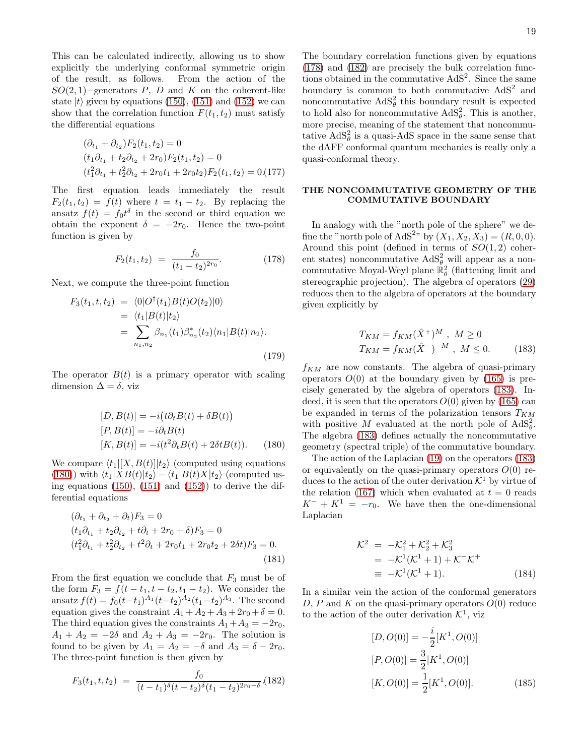This can be calculated indirectly, allowing us to show explicitly the underlying conformal symmetric origin of the result, as follows. From the action of the  $SO(2,1)$ −generators P, D and K on the coherent-like state  $|t\rangle$  given by equations [\(150\)](#page-16-0), [\(151\)](#page-16-1) and [\(152\)](#page-16-2) we can show that the correlation function  $F(t_1, t_2)$  must satisfy the differential equations

$$
(\partial_{t_1} + \partial_{t_2})F_2(t_1, t_2) = 0
$$
  
( $t_1\partial_{t_1} + t_2\partial_{t_2} + 2r_0$ ) $F_2(t_1, t_2) = 0$   
( $t_1^2\partial_{t_1} + t_2^2\partial_{t_2} + 2r_0t_1 + 2r_0t_2$ ) $F_2(t_1, t_2) = 0. (177)$ 

The first equation leads immediately the result  $F_2(t_1, t_2) = f(t)$  where  $t = t_1 - t_2$ . By replacing the ansatz  $f(t) = f_0 t^{\delta}$  in the second or third equation we obtain the exponent  $\delta = -2r_0$ . Hence the two-point function is given by

<span id="page-18-2"></span>
$$
F_2(t_1, t_2) = \frac{f_0}{(t_1 - t_2)^{2r_0}}.
$$
 (178)

Next, we compute the three-point function

$$
F_3(t_1, t, t_2) = \langle 0 | O^{\dagger}(t_1) B(t) O(t_2) | 0 \rangle
$$
  
=  $\langle t_1 | B(t) | t_2 \rangle$   
= 
$$
\sum_{n_1, n_2} \beta_{n_1}(t_1) \beta_{n_2}^*(t_2) \langle n_1 | B(t) | n_2 \rangle.
$$
 (179)

The operator  $B(t)$  is a primary operator with scaling dimension  $\Delta = \delta$ , viz

<span id="page-18-1"></span>
$$
[D, B(t)] = -i(t\partial_t B(t) + \delta B(t))
$$
  
\n
$$
[P, B(t)] = -i\partial_t B(t)
$$
  
\n
$$
[K, B(t)] = -i(t^2 \partial_t B(t) + 2\delta t B(t)).
$$
\n(180)

We compare  $\langle t_1|[X, B(t)]|t_2\rangle$  (computed using equations [\(180\)](#page-18-1)) with  $\langle t_1|XB(t)|t_2\rangle - \langle t_1|B(t)X|t_2\rangle$  (computed using equations  $(150)$ ,  $(151)$  and  $(152)$  to derive the differential equations

$$
(\partial_{t_1} + \partial_{t_2} + \partial_t)F_3 = 0
$$
  
\n
$$
(t_1\partial_{t_1} + t_2\partial_{t_2} + t\partial_t + 2r_0 + \delta)F_3 = 0
$$
  
\n
$$
(t_1^2\partial_{t_1} + t_2^2\partial_{t_2} + t^2\partial_t + 2r_0t_1 + 2r_0t_2 + 2\delta t)F_3 = 0.
$$
  
\n(181)

From the first equation we conclude that  $F_3$  must be of the form  $F_3 = f(t - t_1, t - t_2, t_1 - t_2)$ . We consider the ansatz  $f(t) = f_0(t-t_1)^{A_1}(t-t_2)^{A_2}(t_1-t_2)^{A_3}$ . The second equation gives the constraint  $A_1 + A_2 + A_3 + 2r_0 + \delta = 0$ . The third equation gives the constraints  $A_1+A_3 = -2r_0$ ,  $A_1 + A_2 = -2\delta$  and  $A_2 + A_3 = -2r_0$ . The solution is found to be given by  $A_1 = A_2 = -\delta$  and  $A_3 = \delta - 2r_0$ . The three-point function is then given by

<span id="page-18-3"></span>
$$
F_3(t_1, t, t_2) = \frac{f_0}{(t - t_1)^{\delta}(t - t_2)^{\delta}(t_1 - t_2)^{2r_0 - \delta}}.(182)
$$

The boundary correlation functions given by equations [\(178\)](#page-18-2) and [\(182\)](#page-18-3) are precisely the bulk correlation functions obtained in the commutative  $AdS^2$ . Since the same boundary is common to both commutative  $AdS<sup>2</sup>$  and noncommutative  $AdS^2_{\theta}$  this boundary result is expected to hold also for noncommutative  $AdS^2_{\theta}$ . This is another, more precise, meaning of the statement that noncommutative  $AdS^2_{\theta}$  is a quasi-AdS space in the same sense that the dAFF conformal quantum mechanics is really only a quasi-conformal theory.

## <span id="page-18-0"></span>THE NONCOMMUTATIVE GEOMETRY OF THE COMMUTATIVE BOUNDARY

In analogy with the "north pole of the sphere" we define the "north pole of AdS<sup>2</sup>" by  $(X_1, X_2, X_3) = (R, 0, 0)$ . Around this point (defined in terms of  $SO(1,2)$  coherent states) noncommutative  $AdS^2_{\theta}$  will appear as a noncommutative Moyal-Weyl plane  $\mathbb{R}^{2}_{\theta}$  (flattening limit and stereographic projection). The algebra of operators [\(29\)](#page-5-3) reduces then to the algebra of operators at the boundary given explicitly by

<span id="page-18-4"></span>
$$
T_{KM} = f_{KM}(\hat{X}^+)^M, \ M \ge 0
$$
  
\n
$$
T_{KM} = f_{KM}(\hat{X}^-)^{-M}, \ M \le 0.
$$
 (183)

 $f_{KM}$  are now constants. The algebra of quasi-primary operators  $O(0)$  at the boundary given by [\(165\)](#page-17-5) is precisely generated by the algebra of operators [\(183\)](#page-18-4). Indeed, it is seen that the operators  $O(0)$  given by [\(165\)](#page-17-5) can be expanded in terms of the polarization tensors  $T_{KM}$ with positive M evaluated at the north pole of  $AdS^2_{\theta}$ . The algebra [\(183\)](#page-18-4) defines actually the noncommutative geometry (spectral triple) of the commutative boundary.

The action of the Laplacian [\(19\)](#page-4-6) on the operators [\(183\)](#page-18-4) or equivalently on the quasi-primary operators  $O(0)$  reduces to the action of the outer derivation  $\mathcal{K}^1$  by virtue of the relation [\(167\)](#page-17-6) which when evaluated at  $t = 0$  reads  $K^- + K^1 = -r_0$ . We have then the one-dimensional Laplacian

<span id="page-18-5"></span>
$$
\mathcal{K}^2 = -\mathcal{K}_1^2 + \mathcal{K}_2^2 + \mathcal{K}_3^2 \n= -\mathcal{K}^1(\mathcal{K}^1 + 1) + \mathcal{K}^- \mathcal{K}^+ \n\equiv -\mathcal{K}^1(\mathcal{K}^1 + 1).
$$
\n(184)

In a similar vein the action of the conformal generators  $D, P$  and K on the quasi-primary operators  $O(0)$  reduce to the action of the outer derivation  $\mathcal{K}^1$ , viz

$$
[D, O(0)] = -\frac{i}{2}[K^1, O(0)]
$$
  
\n
$$
[P, O(0)] = \frac{3}{2}[K^1, O(0)]
$$
  
\n
$$
[K, O(0)] = \frac{1}{2}[K^1, O(0)].
$$
\n(185)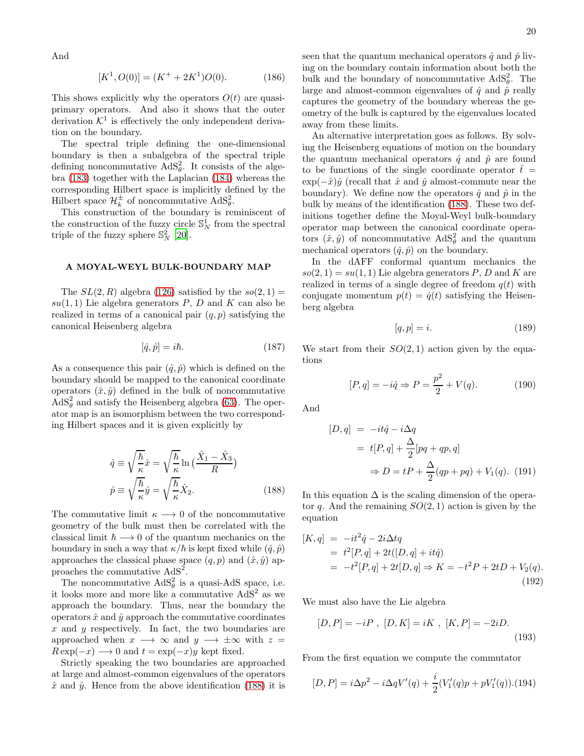And

$$
[K^1, O(0)] = (K^+ + 2K^1)O(0). \tag{186}
$$

This shows explicitly why the operators  $O(t)$  are quasiprimary operators. And also it shows that the outer derivation  $\mathcal{K}^1$  is effectively the only independent derivation on the boundary.

The spectral triple defining the one-dimensional boundary is then a subalgebra of the spectral triple defining noncommutative  $AdS^2_{\theta}$ . It consists of the algebra [\(183\)](#page-18-4) together with the Laplacian [\(184\)](#page-18-5) whereas the corresponding Hilbert space is implicitly defined by the Hilbert space  $\mathcal{H}_k^{\pm}$  of noncommutative  $AdS_\theta^2$ .

This construction of the boundary is reminiscent of the construction of the fuzzy circle  $\mathbb{S}^1_N$  from the spectral triple of the fuzzy sphere  $\mathbb{S}_N^2$  [\[20](#page-22-37)].

### <span id="page-19-0"></span>A MOYAL-WEYL BULK-BOUNDARY MAP

The  $SL(2, R)$  algebra [\(126\)](#page-13-1) satisfied by the  $so(2, 1) =$  $su(1, 1)$  Lie algebra generators P, D and K can also be realized in terms of a canonical pair  $(q, p)$  satisfying the canonical Heisenberg algebra

$$
[\hat{q}, \hat{p}] = i\hbar. \tag{187}
$$

As a consequence this pair  $(\hat{q}, \hat{p})$  which is defined on the boundary should be mapped to the canonical coordinate operators  $(\hat{x}, \hat{y})$  defined in the bulk of noncommutative  $AdS<sub>\theta</sub><sup>2</sup>$  and satisfy the Heisenberg algebra [\(63\)](#page-8-3). The operator map is an isomorphism between the two corresponding Hilbert spaces and it is given explicitly by

<span id="page-19-1"></span>
$$
\hat{q} \equiv \sqrt{\frac{\hbar}{\kappa}} \hat{x} = \sqrt{\frac{\hbar}{\kappa}} \ln \left( \frac{\hat{X}_1 - \hat{X}_3}{R} \right)
$$

$$
\hat{p} \equiv \sqrt{\frac{\hbar}{\kappa}} \hat{y} = \sqrt{\frac{\hbar}{\kappa}} \hat{X}_2.
$$
(188)

The commutative limit  $\kappa \longrightarrow 0$  of the noncommutative geometry of the bulk must then be correlated with the classical limit  $\hbar \longrightarrow 0$  of the quantum mechanics on the boundary in such a way that  $\kappa/\hbar$  is kept fixed while  $(\hat{q}, \hat{p})$ approaches the classical phase space  $(q, p)$  and  $(\hat{x}, \hat{y})$  approaches the commutative  $AdS<sup>2</sup>$ .

The noncommutative  $AdS^2_{\theta}$  is a quasi-AdS space, i.e. it looks more and more like a commutative  $AdS<sup>2</sup>$  as we approach the boundary. Thus, near the boundary the operators  $\hat{x}$  and  $\hat{y}$  approach the commutative coordinates  $x$  and  $y$  respectively. In fact, the two boundaries are approached when  $x \rightarrow \infty$  and  $y \rightarrow \pm \infty$  with  $z =$  $R \exp(-x) \longrightarrow 0$  and  $t = \exp(-x)y$  kept fixed.

Strictly speaking the two boundaries are approached at large and almost-common eigenvalues of the operators  $\hat{x}$  and  $\hat{y}$ . Hence from the above identification [\(188\)](#page-19-1) it is

seen that the quantum mechanical operators  $\hat{q}$  and  $\hat{p}$  living on the boundary contain information about both the bulk and the boundary of noncommutative  $AdS^2_{\theta}$ . The large and almost-common eigenvalues of  $\hat{q}$  and  $\hat{p}$  really captures the geometry of the boundary whereas the geometry of the bulk is captured by the eigenvalues located away from these limits.

An alternative interpretation goes as follows. By solving the Heisenberg equations of motion on the boundary the quantum mechanical operators  $\hat{q}$  and  $\hat{p}$  are found to be functions of the single coordinate operator  $\dot{t} =$  $\exp(-\hat{x})\hat{y}$  (recall that  $\hat{x}$  and  $\hat{y}$  almost-commute near the boundary). We define now the operators  $\hat{q}$  and  $\hat{p}$  in the bulk by means of the identification [\(188\)](#page-19-1). These two definitions together define the Moyal-Weyl bulk-boundary operator map between the canonical coordinate operators  $(\hat{x}, \hat{y})$  of noncommutative  $AdS^2_{\theta}$  and the quantum mechanical operators  $(\hat{q}, \hat{p})$  on the boundary.

In the dAFF conformal quantum mechanics the  $so(2, 1) = su(1, 1)$  Lie algebra generators P, D and K are realized in terms of a single degree of freedom  $q(t)$  with conjugate momentum  $p(t) = \dot{q}(t)$  satisfying the Heisenberg algebra

$$
[q, p] = i. \tag{189}
$$

We start from their  $SO(2,1)$  action given by the equations

$$
[P, q] = -i\dot{q} \Rightarrow P = \frac{p^2}{2} + V(q). \tag{190}
$$

And

$$
[D, q] = -it\dot{q} - i\Delta q
$$
  
=  $t[P, q] + \frac{\Delta}{2}[pq + qp, q]$   

$$
\Rightarrow D = tP + \frac{\Delta}{2}(qp + pq) + V_1(q). \quad (191)
$$

In this equation  $\Delta$  is the scaling dimension of the operator q. And the remaining  $SO(2,1)$  action is given by the equation

$$
[K, q] = -it^2\dot{q} - 2i\Delta tq
$$
  
=  $t^2[P, q] + 2t([D, q] + it\dot{q})$   
=  $-t^2[P, q] + 2t[D, q] \Rightarrow K = -t^2P + 2tD + V_2(q).$   
(192)

We must also have the Lie algebra

$$
[D, P] = -iP , [D, K] = iK , [K, P] = -2iD.
$$
\n(193)

From the first equation we compute the commutator

$$
[D, P] = i\Delta p^{2} - i\Delta q V'(q) + \frac{i}{2}(V'_{1}(q)p + pV'_{1}(q)).(194)
$$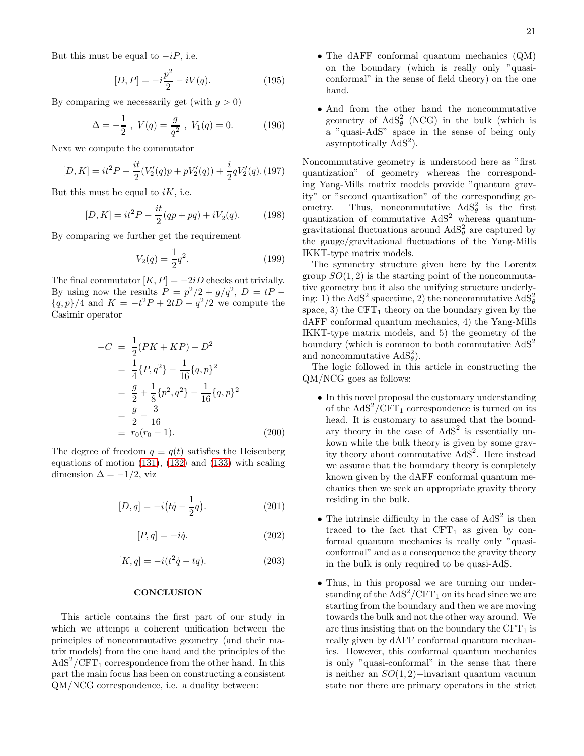But this must be equal to  $-iP$ , i.e.

$$
[D, P] = -i\frac{p^2}{2} - iV(q). \tag{195}
$$

By comparing we necessarily get (with  $q > 0$ )

$$
\Delta = -\frac{1}{2}, \ V(q) = \frac{g}{q^2}, \ V_1(q) = 0. \tag{196}
$$

Next we compute the commutator

$$
[D, K] = it^2 P - \frac{it}{2}(V_2'(q)p + pV_2'(q)) + \frac{i}{2}qV_2'(q)
$$
. (197)

But this must be equal to  $iK$ , i.e.

$$
[D, K] = it^2 P - \frac{it}{2}(qp + pq) + iV_2(q). \tag{198}
$$

By comparing we further get the requirement

$$
V_2(q) = \frac{1}{2}q^2.
$$
 (199)

The final commutator  $[K, P] = -2iD$  checks out trivially. By using now the results  $P = p^2/2 + g/q^2$ ,  $D = tP {q, p}/4$  and  $K = -t^2 P + 2tD + q^2/2$  we compute the Casimir operator

$$
-C = \frac{1}{2}(PK + KP) - D^2
$$
  
=  $\frac{1}{4}{P, q^2} - \frac{1}{16}{q, p}^2$   
=  $\frac{g}{2} + \frac{1}{8}{p^2, q^2} - \frac{1}{16}{q, p}^2$   
=  $\frac{g}{2} - \frac{3}{16}$   
\equiv  $r_0(r_0 - 1)$ . (200)

The degree of freedom  $q \equiv q(t)$  satisfies the Heisenberg equations of motion [\(131\)](#page-14-1), [\(132\)](#page-14-2) and [\(133\)](#page-14-3) with scaling dimension  $\Delta = -1/2$ , viz

$$
[D, q] = -i(t\dot{q} - \frac{1}{2}q). \tag{201}
$$

$$
[P, q] = -i\dot{q}.\tag{202}
$$

$$
[K, q] = -i(t^2 \dot{q} - tq). \tag{203}
$$

## <span id="page-20-0"></span>**CONCLUSION**

This article contains the first part of our study in which we attempt a coherent unification between the principles of noncommutative geometry (and their matrix models) from the one hand and the principles of the  $AdS<sup>2</sup>/CFT<sub>1</sub>$  correspondence from the other hand. In this part the main focus has been on constructing a consistent QM/NCG correspondence, i.e. a duality between:

- The dAFF conformal quantum mechanics (QM) on the boundary (which is really only "quasiconformal" in the sense of field theory) on the one hand.
- And from the other hand the noncommutative geometry of  $AdS^2_{\theta}$  (NCG) in the bulk (which is a "quasi-AdS" space in the sense of being only asymptotically  $AdS<sup>2</sup>$ ).

Noncommutative geometry is understood here as "first quantization" of geometry whereas the corresponding Yang-Mills matrix models provide "quantum gravity" or "second quantization" of the corresponding geometry. Thus, noncommutative  $AdS^2_{\theta}$  is the first quantization of commutative AdS<sup>2</sup> whereas quantumgravitational fluctuations around  $AdS^2_{\theta}$  are captured by the gauge/gravitational fluctuations of the Yang-Mills IKKT-type matrix models.

The symmetry structure given here by the Lorentz group  $SO(1, 2)$  is the starting point of the noncommutative geometry but it also the unifying structure underlying: 1) the AdS<sup>2</sup> spacetime, 2) the noncommutative  $AdS^2_\theta$ space, 3) the  $CFT_1$  theory on the boundary given by the dAFF conformal quantum mechanics, 4) the Yang-Mills IKKT-type matrix models, and 5) the geometry of the boundary (which is common to both commutative  $AdS<sup>2</sup>$ and noncommutative  $AdS^2_{\theta}$ ).

The logic followed in this article in constructing the QM/NCG goes as follows:

- In this novel proposal the customary understanding of the  $AdS^2/CFT_1$  correspondence is turned on its head. It is customary to assumed that the boundary theory in the case of  $AdS<sup>2</sup>$  is essentially unkown while the bulk theory is given by some gravity theory about commutative AdS<sup>2</sup> . Here instead we assume that the boundary theory is completely known given by the dAFF conformal quantum mechanics then we seek an appropriate gravity theory residing in the bulk.
- The intrinsic difficulty in the case of  $AdS<sup>2</sup>$  is then traced to the fact that  $CFT_1$  as given by conformal quantum mechanics is really only "quasiconformal" and as a consequence the gravity theory in the bulk is only required to be quasi-AdS.
- Thus, in this proposal we are turning our understanding of the  $\mathrm{AdS}^2/\mathrm{CFT}_1$  on its head since we are starting from the boundary and then we are moving towards the bulk and not the other way around. We are thus insisting that on the boundary the  $CFT<sub>1</sub>$  is really given by dAFF conformal quantum mechanics. However, this conformal quantum mechanics is only "quasi-conformal" in the sense that there is neither an SO(1, 2)−invariant quantum vacuum state nor there are primary operators in the strict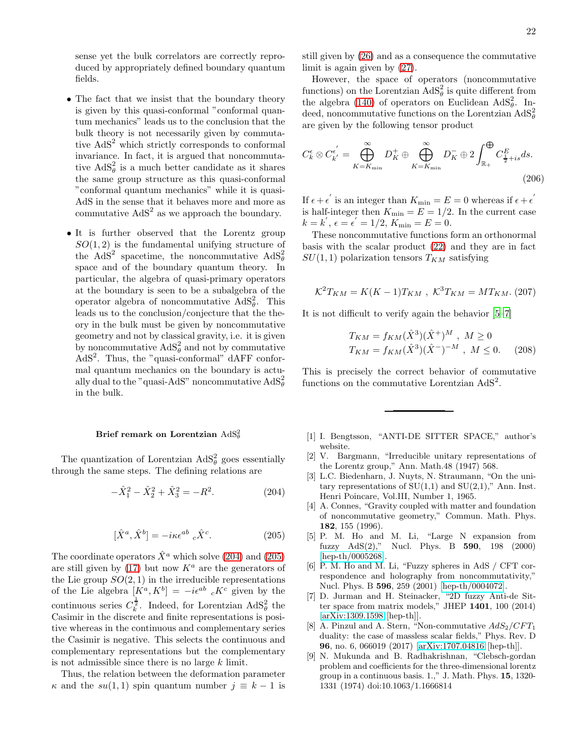sense yet the bulk correlators are correctly reproduced by appropriately defined boundary quantum fields.

- The fact that we insist that the boundary theory is given by this quasi-conformal "conformal quantum mechanics" leads us to the conclusion that the bulk theory is not necessarily given by commutative  $AdS<sup>2</sup>$  which strictly corresponds to conformal invariance. In fact, it is argued that noncommutative  $AdS^2_{\theta}$  is a much better candidate as it shares the same group structure as this quasi-conformal "conformal quantum mechanics" while it is quasi-AdS in the sense that it behaves more and more as commutative  $AdS^2$  as we approach the boundary.
- It is further observed that the Lorentz group  $SO(1, 2)$  is the fundamental unifying structure of the AdS<sup>2</sup> spacetime, the noncommutative  $AdS_\theta^2$ space and of the boundary quantum theory. In particular, the algebra of quasi-primary operators at the boundary is seen to be a subalgebra of the operator algebra of noncommutative  $AdS^2_{\theta}$ . This leads us to the conclusion/conjecture that the theory in the bulk must be given by noncommutative geometry and not by classical gravity, i.e. it is given by noncommutative  $AdS^2_\theta$  and not by commutative  $AdS<sup>2</sup>$ . Thus, the "quasi-conformal" dAFF conformal quantum mechanics on the boundary is actually dual to the "quasi-AdS" noncommutative  $\text{AdS}^2_\theta$ in the bulk.

# <span id="page-21-0"></span>Brief remark on Lorentzian  $\text{AdS}^2_\theta$

The quantization of Lorentzian  $AdS^2_\theta$  goes essentially through the same steps. The defining relations are

<span id="page-21-10"></span>
$$
-\hat{X}_1^2 - \hat{X}_2^2 + \hat{X}_3^2 = -R^2.
$$
 (204)

<span id="page-21-11"></span>
$$
[\hat{X}^a, \hat{X}^b] = -i\kappa \epsilon^{ab}{}_{c} \hat{X}^c. \tag{205}
$$

The coordinate operators  $\hat{X}^a$  which solve [\(204\)](#page-21-10) and [\(205\)](#page-21-11) are still given by [\(17\)](#page-4-3) but now  $K^a$  are the generators of the Lie group  $SO(2, 1)$  in the irreducible representations of the Lie algebra  $[K^a, K^b] = -i\epsilon^{ab}{}_cK^c$  given by the continuous series  $C_k^{\frac{1}{2}}$ . Indeed, for Lorentzian  $AdS_\theta^2$  the Casimir in the discrete and finite representations is positive whereas in the continuous and complementary series the Casimir is negative. This selects the continuous and complementary representations but the complementary is not admissible since there is no large  $k$  limit.

Thus, the relation between the deformation parameter  $\kappa$  and the su(1, 1) spin quantum number  $j \equiv k - 1$  is still given by [\(26\)](#page-5-1) and as a consequence the commutative limit is again given by [\(27\)](#page-5-4).

However, the space of operators (noncommutative functions) on the Lorentzian  $AdS^2_{\theta}$  is quite different from the algebra [\(140\)](#page-14-0) of operators on Euclidean AdS<sub> $\hat{\theta}$ </sub>. Indeed, noncommutative functions on the Lorentzian  $\text{AdS}_{\theta}^2$ are given by the following tensor product

$$
C_{k}^{\epsilon} \otimes C_{k'}^{\epsilon'} = \bigoplus_{K=K_{\min}}^{\infty} D_{K}^{+} \oplus \bigoplus_{K=K_{\min}}^{\infty} D_{K}^{-} \oplus 2 \int_{\mathbb{R}_{+}}^{\oplus} C_{\frac{1}{2}+is}^{E} ds.
$$
\n(206)

If  $\epsilon + \epsilon^{'}$  is an integer than  $K_{\min} = E = 0$  whereas if  $\epsilon + \epsilon^{'}$ is half-integer then  $K_{\text{min}} = E = 1/2$ . In the current case  $k=k$  ,  $\epsilon=\epsilon\ = 1/2,\,K_{\rm min}=E=0.$ 

These noncommutative functions form an orthonormal basis with the scalar product [\(22\)](#page-4-4) and they are in fact  $SU(1, 1)$  polarization tensors  $T_{KM}$  satisfying

$$
\mathcal{K}^2 T_{KM} = K(K-1) T_{KM} , \ \mathcal{K}^3 T_{KM} = MT_{KM} . (207)
$$

It is not difficult to verify again the behavior [\[5](#page-21-6)[–7](#page-21-9)]

<span id="page-21-1"></span>
$$
T_{KM} = f_{KM}(\hat{X}^3)(\hat{X}^+)^M, \ M \ge 0
$$
  
\n
$$
T_{KM} = f_{KM}(\hat{X}^3)(\hat{X}^-)^{-M}, \ M \le 0.
$$
 (208)

This is precisely the correct behavior of commutative functions on the commutative Lorentzian AdS<sup>2</sup>.

- <span id="page-21-2"></span>[1] I. Bengtsson, "ANTI-DE SITTER SPACE," author's website.
- <span id="page-21-3"></span>[2] V. Bargmann, "Irreducible unitary representations of the Lorentz group," Ann. Math.48 (1947) 568.
- <span id="page-21-4"></span>[3] L.C. Biedenharn, J. Nuyts, N. Straumann, "On the unitary representations of  $SU(1,1)$  and  $SU(2,1)$ ," Ann. Inst. Henri Poincare, Vol.III, Number 1, 1965.
- <span id="page-21-8"></span>[4] A. Connes, "Gravity coupled with matter and foundation of noncommutative geometry," Commun. Math. Phys. 182, 155 (1996).
- <span id="page-21-6"></span>[5] P. M. Ho and M. Li, "Large N expansion from fuzzy AdS(2)," Nucl. Phys. B 590, 198 (2000) [\[hep-th/0005268\]](http://arxiv.org/abs/hep-th/0005268).
- [6] P. M. Ho and M. Li, "Fuzzy spheres in AdS / CFT correspondence and holography from noncommutativity," Nucl. Phys. B 596, 259 (2001) [\[hep-th/0004072\]](http://arxiv.org/abs/hep-th/0004072).
- <span id="page-21-9"></span>[7] D. Jurman and H. Steinacker, "2D fuzzy Anti-de Sitter space from matrix models," JHEP 1401, 100 (2014) [\[arXiv:1309.1598](http://arxiv.org/abs/1309.1598) [hep-th]].
- <span id="page-21-7"></span>[8] A. Pinzul and A. Stern, "Non-commutative  $AdS_2/CFT_1$ duality: the case of massless scalar fields," Phys. Rev. D 96, no. 6, 066019 (2017) [\[arXiv:1707.04816](http://arxiv.org/abs/1707.04816) [hep-th]].
- <span id="page-21-5"></span>[9] N. Mukunda and B. Radhakrishnan, "Clebsch-gordan problem and coefficients for the three-dimensional lorentz group in a continuous basis. 1.," J. Math. Phys. 15, 1320- 1331 (1974) doi:10.1063/1.1666814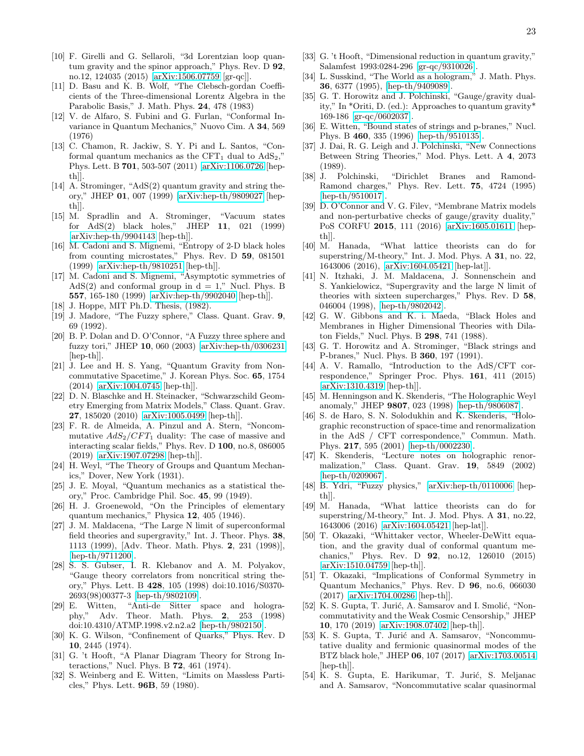- [10] F. Girelli and G. Sellaroli, "3d Lorentzian loop quantum gravity and the spinor approach," Phys. Rev. D 92, no.12, 124035 (2015) [\[arXiv:1506.07759](http://arxiv.org/abs/1506.07759) [gr-qc]].
- <span id="page-22-2"></span>[11] D. Basu and K. B. Wolf, "The Clebsch-gordan Coefficients of the Three-dimensional Lorentz Algebra in the Parabolic Basis," J. Math. Phys. 24, 478 (1983)
- <span id="page-22-25"></span>[12] V. de Alfaro, S. Fubini and G. Furlan, "Conformal Invariance in Quantum Mechanics," Nuovo Cim. A 34, 569 (1976)
- <span id="page-22-26"></span>[13] C. Chamon, R. Jackiw, S. Y. Pi and L. Santos, "Conformal quantum mechanics as the CFT<sub>1</sub> dual to  $AdS_2$ , Phys. Lett. B 701, 503-507 (2011) [\[arXiv:1106.0726](http://arxiv.org/abs/1106.0726) [hepth]].
- <span id="page-22-21"></span>[14] A. Strominger, "AdS(2) quantum gravity and string theory," JHEP 01, 007 (1999) [\[arXiv:hep-th/9809027](http://arxiv.org/abs/hep-th/9809027) [hepth]].
- <span id="page-22-22"></span>[15] M. Spradlin and A. Strominger, "Vacuum states for AdS(2) black holes," JHEP 11, 021 (1999) [\[arXiv:hep-th/9904143](http://arxiv.org/abs/hep-th/9904143) [hep-th]].
- <span id="page-22-23"></span>[16] M. Cadoni and S. Mignemi, "Entropy of 2-D black holes from counting microstates," Phys. Rev. D 59, 081501 (1999) [\[arXiv:hep-th/9810251](http://arxiv.org/abs/hep-th/9810251) [hep-th]].
- <span id="page-22-24"></span>[17] M. Cadoni and S. Mignemi, "Asymptotic symmetries of AdS(2) and conformal group in  $d = 1$ ," Nucl. Phys. B 557, 165-180 (1999) [\[arXiv:hep-th/9902040](http://arxiv.org/abs/hep-th/9902040) [hep-th]].
- <span id="page-22-3"></span>[18] J. Hoppe, MIT Ph.D. Thesis, (1982).
- <span id="page-22-4"></span>[19] J. Madore, "The Fuzzy sphere," Class. Quant. Grav. 9, 69 (1992).
- <span id="page-22-37"></span>[20] B. P. Dolan and D. O'Connor, "A Fuzzy three sphere and fuzzy tori," JHEP 10, 060 (2003) [\[arXiv:hep-th/0306231](http://arxiv.org/abs/hep-th/0306231) [hep-th]].
- <span id="page-22-28"></span>[21] J. Lee and H. S. Yang, "Quantum Gravity from Noncommutative Spacetime," J. Korean Phys. Soc. 65, 1754 (2014) [\[arXiv:1004.0745](http://arxiv.org/abs/1004.0745) [hep-th]].
- <span id="page-22-29"></span>[22] D. N. Blaschke and H. Steinacker, "Schwarzschild Geometry Emerging from Matrix Models," Class. Quant. Grav. 27, 185020 (2010) [\[arXiv:1005.0499](http://arxiv.org/abs/1005.0499) [hep-th]].
- <span id="page-22-30"></span>[23] F. R. de Almeida, A. Pinzul and A. Stern, "Noncommutative  $AdS_2/CFT_1$  duality: The case of massive and interacting scalar fields," Phys. Rev. D 100, no.8, 086005 (2019) [\[arXiv:1907.07298](http://arxiv.org/abs/1907.07298) [hep-th]].
- <span id="page-22-31"></span>[24] H. Weyl, "The Theory of Groups and Quantum Mechanics," Dover, New York (1931).
- <span id="page-22-32"></span>[25] J. E. Moyal, "Quantum mechanics as a statistical theory," Proc. Cambridge Phil. Soc. 45, 99 (1949).
- <span id="page-22-33"></span>[26] H. J. Groenewold, "On the Principles of elementary quantum mechanics," Physica 12, 405 (1946).
- <span id="page-22-7"></span>[27] J. M. Maldacena, "The Large N limit of superconformal field theories and supergravity," Int. J. Theor. Phys. 38, 1113 (1999), [Adv. Theor. Math. Phys. 2, 231 (1998)], [\[hep-th/9711200\]](http://arxiv.org/abs/hep-th/9711200).
- <span id="page-22-11"></span>[28] S. S. Gubser, I. R. Klebanov and A. M. Polyakov, "Gauge theory correlators from noncritical string theory," Phys. Lett. B 428, 105 (1998) doi:10.1016/S0370- 2693(98)00377-3 [\[hep-th/9802109\]](http://arxiv.org/abs/hep-th/9802109).
- <span id="page-22-12"></span>[29] E. Witten, "Anti-de Sitter space and holography," Adv. Theor. Math. Phys. 2, 253 (1998) doi:10.4310/ATMP.1998.v2.n2.a2 [\[hep-th/9802150\]](http://arxiv.org/abs/hep-th/9802150).
- <span id="page-22-18"></span>[30] K. G. Wilson, "Confinement of Quarks," Phys. Rev. D 10, 2445 (1974).
- <span id="page-22-17"></span>[31] G. 't Hooft, "A Planar Diagram Theory for Strong Interactions," Nucl. Phys. B 72, 461 (1974).
- <span id="page-22-16"></span>[32] S. Weinberg and E. Witten, "Limits on Massless Particles," Phys. Lett. 96B, 59 (1980).
- <span id="page-22-14"></span>[33] G. 't Hooft, "Dimensional reduction in quantum gravity," Salamfest 1993:0284-296 [\[gr-qc/9310026\]](http://arxiv.org/abs/gr-qc/9310026).
- <span id="page-22-15"></span>[34] L. Susskind, "The World as a hologram," J. Math. Phys. 36, 6377 (1995), [\[hep-th/9409089\]](http://arxiv.org/abs/hep-th/9409089).
- <span id="page-22-13"></span>[35] G. T. Horowitz and J. Polchinski, "Gauge/gravity duality," In \*Oriti, D. (ed.): Approaches to quantum gravity\* 169-186 [\[gr-qc/0602037\]](http://arxiv.org/abs/gr-qc/0602037).
- <span id="page-22-9"></span>[36] E. Witten, "Bound states of strings and p-branes," Nucl. Phys. B 460, 335 (1996) [\[hep-th/9510135\]](http://arxiv.org/abs/hep-th/9510135).
- <span id="page-22-10"></span>[37] J. Dai, R. G. Leigh and J. Polchinski, "New Connections Between String Theories," Mod. Phys. Lett. A 4, 2073 (1989).
- <span id="page-22-8"></span>[38] J. Polchinski, "Dirichlet Branes and Ramond-Ramond charges," Phys. Rev. Lett. 75, 4724 (1995) [\[hep-th/9510017\]](http://arxiv.org/abs/hep-th/9510017).
- <span id="page-22-19"></span>[39] D. O'Connor and V. G. Filev, "Membrane Matrix models and non-perturbative checks of gauge/gravity duality," PoS CORFU 2015, 111 (2016) [\[arXiv:1605.01611](http://arxiv.org/abs/1605.01611) [hepth]].
- <span id="page-22-20"></span>[40] M. Hanada, "What lattice theorists can do for superstring/M-theory," Int. J. Mod. Phys. A 31, no. 22, 1643006 (2016), [\[arXiv:1604.05421](http://arxiv.org/abs/1604.05421) [hep-lat]].
- <span id="page-22-5"></span>[41] N. Itzhaki, J. M. Maldacena, J. Sonnenschein and S. Yankielowicz, "Supergravity and the large N limit of theories with sixteen supercharges," Phys. Rev. D 58, 046004 (1998), [\[hep-th/9802042\]](http://arxiv.org/abs/hep-th/9802042).
- [42] G. W. Gibbons and K. i. Maeda, "Black Holes and Membranes in Higher Dimensional Theories with Dilaton Fields," Nucl. Phys. B 298, 741 (1988).
- <span id="page-22-6"></span>[43] G. T. Horowitz and A. Strominger, "Black strings and P-branes," Nucl. Phys. B 360, 197 (1991).
- <span id="page-22-34"></span>[44] A. V. Ramallo, "Introduction to the AdS/CFT correspondence," Springer Proc. Phys. 161, 411 (2015) [\[arXiv:1310.4319](http://arxiv.org/abs/1310.4319) [hep-th]].
- <span id="page-22-35"></span>[45] M. Henningson and K. Skenderis, "The Holographic Weyl anomaly," JHEP 9807, 023 (1998) [\[hep-th/9806087\]](http://arxiv.org/abs/hep-th/9806087).
- [46] S. de Haro, S. N. Solodukhin and K. Skenderis, "Holographic reconstruction of space-time and renormalization in the AdS / CFT correspondence," Commun. Math. Phys. 217, 595 (2001) [\[hep-th/0002230\]](http://arxiv.org/abs/hep-th/0002230).
- <span id="page-22-36"></span>[47] K. Skenderis, "Lecture notes on holographic renormalization," Class. Quant. Grav. 19, 5849 (2002) [\[hep-th/0209067\]](http://arxiv.org/abs/hep-th/0209067).
- <span id="page-22-0"></span>[48] B. Ydri, "Fuzzy physics," [\[arXiv:hep-th/0110006](http://arxiv.org/abs/hep-th/0110006) [hepth]].
- <span id="page-22-1"></span>[49] M. Hanada, "What lattice theorists can do for superstring/M-theory," Int. J. Mod. Phys. A 31, no.22, 1643006 (2016) [\[arXiv:1604.05421](http://arxiv.org/abs/1604.05421) [hep-lat]].
- <span id="page-22-27"></span>[50] T. Okazaki, "Whittaker vector, Wheeler-DeWitt equation, and the gravity dual of conformal quantum mechanics," Phys. Rev. D 92, no.12, 126010 (2015) [\[arXiv:1510.04759](http://arxiv.org/abs/1510.04759) [hep-th]].
- [51] T. Okazaki, "Implications of Conformal Symmetry in Quantum Mechanics," Phys. Rev. D 96, no.6, 066030 (2017) [\[arXiv:1704.00286](http://arxiv.org/abs/1704.00286) [hep-th]].
- [52] K. S. Gupta, T. Jurić, A. Samsarov and I. Smolić, "Noncommutativity and the Weak Cosmic Censorship," JHEP 10, 170 (2019) [\[arXiv:1908.07402](http://arxiv.org/abs/1908.07402) [hep-th]].
- [53] K. S. Gupta, T. Jurić and A. Samsarov, "Noncommutative duality and fermionic quasinormal modes of the BTZ black hole," JHEP 06, 107 (2017) [\[arXiv:1703.00514](http://arxiv.org/abs/1703.00514) [hep-th]].
- [54] K. S. Gupta, E. Harikumar, T. Jurić, S. Meljanac and A. Samsarov, "Noncommutative scalar quasinormal